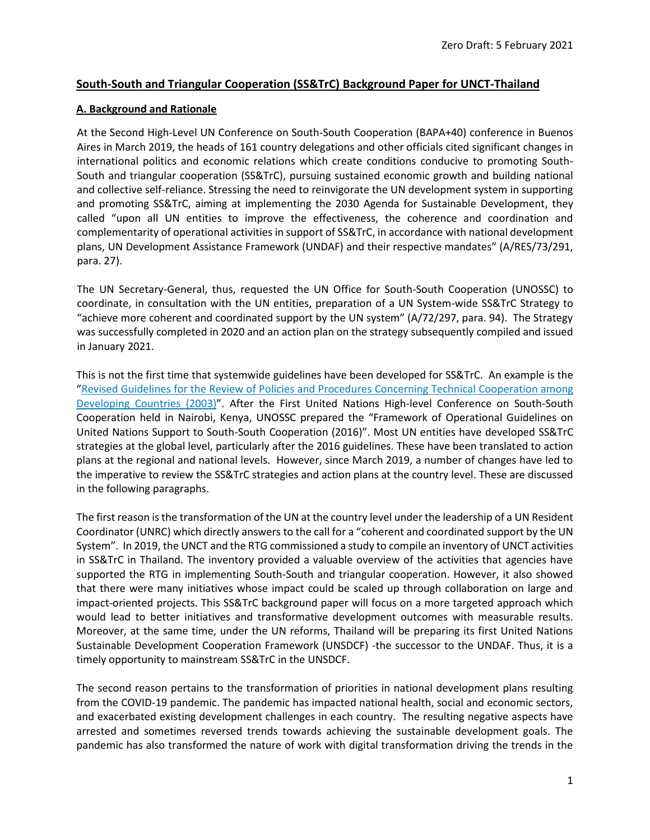### **South-South and Triangular Cooperation (SS&TrC) Background Paper for UNCT-Thailand**

### **A. Background and Rationale**

At the Second High-Level UN Conference on South-South Cooperation (BAPA+40) conference in Buenos Aires in March 2019, the heads of 161 country delegations and other officials cited significant changes in international politics and economic relations which create conditions conducive to promoting South-South and triangular cooperation (SS&TrC), pursuing sustained economic growth and building national and collective self-reliance. Stressing the need to reinvigorate the UN development system in supporting and promoting SS&TrC, aiming at implementing the 2030 Agenda for Sustainable Development, they called "upon all UN entities to improve the effectiveness, the coherence and coordination and complementarity of operational activities in support of SS&TrC, in accordance with national development plans, UN Development Assistance Framework (UNDAF) and their respective mandates" (A/RES/73/291, para. 27).

The UN Secretary-General, thus, requested the UN Office for South-South Cooperation (UNOSSC) to coordinate, in consultation with the UN entities, preparation of a UN System-wide SS&TrC Strategy to "achieve more coherent and coordinated support by the UN system" (A/72/297, para. 94). The Strategy was successfully completed in 2020 and an action plan on the strategy subsequently compiled and issued in January 2021.

This is not the first time that systemwide guidelines have been developed for SS&TrC. An example is the "Revised Guidelines for the Review of Policies and Procedures Concerning Technical [Cooperation](https://drive.google.com/file/d/0B-buqyoV0jpSYzdrQndRSTlqU00/view) among [Developing](https://drive.google.com/file/d/0B-buqyoV0jpSYzdrQndRSTlqU00/view) Countries (2003)". After the First United Nations High-level Conference on South-South Cooperation held in Nairobi, Kenya, UNOSSC prepared the "Framework of Operational Guidelines on United Nations Support to South-South Cooperation (2016)". Most UN entities have developed SS&TrC strategies at the global level, particularly after the 2016 guidelines. These have been translated to action plans at the regional and national levels. However, since March 2019, a number of changes have led to the imperative to review the SS&TrC strategies and action plans at the country level. These are discussed in the following paragraphs.

The first reason is the transformation of the UN at the country level under the leadership of a UN Resident Coordinator (UNRC) which directly answers to the call for a "coherent and coordinated support by the UN System". In 2019, the UNCT and the RTG commissioned a study to compile an inventory of UNCT activities in SS&TrC in Thailand. The inventory provided a valuable overview of the activities that agencies have supported the RTG in implementing South-South and triangular cooperation. However, it also showed that there were many initiatives whose impact could be scaled up through collaboration on large and impact-oriented projects. This SS&TrC background paper will focus on a more targeted approach which would lead to better initiatives and transformative development outcomes with measurable results. Moreover, at the same time, under the UN reforms, Thailand will be preparing its first United Nations Sustainable Development Cooperation Framework (UNSDCF) -the successor to the UNDAF. Thus, it is a timely opportunity to mainstream SS&TrC in the UNSDCF.

The second reason pertains to the transformation of priorities in national development plans resulting from the COVID-19 pandemic. The pandemic has impacted national health, social and economic sectors, and exacerbated existing development challenges in each country. The resulting negative aspects have arrested and sometimes reversed trends towards achieving the sustainable development goals. The pandemic has also transformed the nature of work with digital transformation driving the trends in the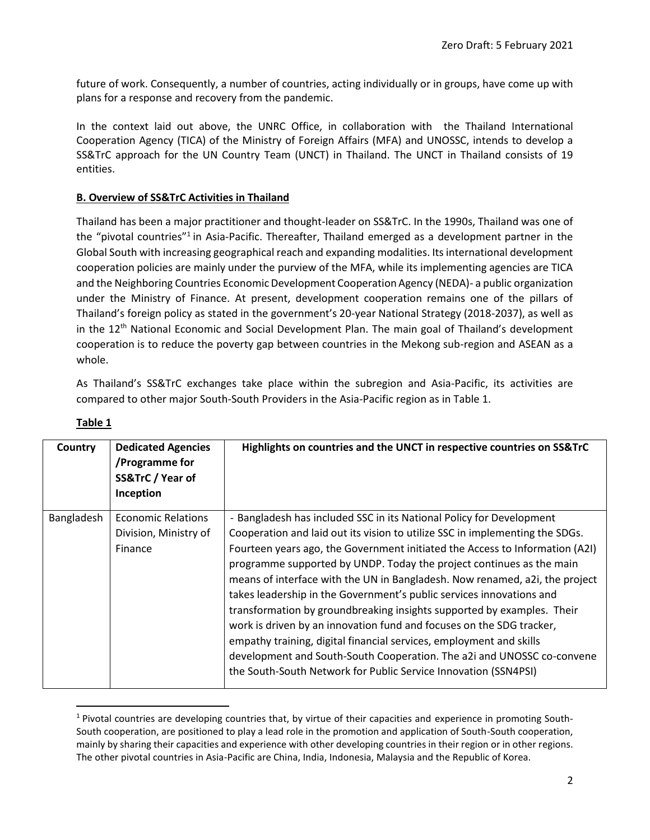future of work. Consequently, a number of countries, acting individually or in groups, have come up with plans for a response and recovery from the pandemic.

In the context laid out above, the UNRC Office, in collaboration with the Thailand International Cooperation Agency (TICA) of the Ministry of Foreign Affairs (MFA) and UNOSSC, intends to develop a SS&TrC approach for the UN Country Team (UNCT) in Thailand. The UNCT in Thailand consists of 19 entities.

### **B. Overview of SS&TrC Activities in Thailand**

Thailand has been a major practitioner and thought-leader on SS&TrC. In the 1990s, Thailand was one of the "pivotal countries"<sup>1</sup> in Asia-Pacific. Thereafter, Thailand emerged as a development partner in the Global South with increasing geographical reach and expanding modalities. Its international development cooperation policies are mainly under the purview of the MFA, while its implementing agencies are TICA and the Neighboring Countries Economic Development Cooperation Agency (NEDA)- a public organization under the Ministry of Finance. At present, development cooperation remains one of the pillars of Thailand's foreign policy as stated in the government's 20-year National Strategy (2018-2037), as well as in the 12<sup>th</sup> National Economic and Social Development Plan. The main goal of Thailand's development cooperation is to reduce the poverty gap between countries in the Mekong sub-region and ASEAN as a whole.

As Thailand's SS&TrC exchanges take place within the subregion and Asia-Pacific, its activities are compared to other major South-South Providers in the Asia-Pacific region as in Table 1.

| Country    | <b>Dedicated Agencies</b><br>/Programme for<br>SS&TrC / Year of<br>Inception | Highlights on countries and the UNCT in respective countries on SS&TrC                                                                                                                                                                                                                                                                                                                                                                                                                                                                                                                                                                                                                                                                                            |
|------------|------------------------------------------------------------------------------|-------------------------------------------------------------------------------------------------------------------------------------------------------------------------------------------------------------------------------------------------------------------------------------------------------------------------------------------------------------------------------------------------------------------------------------------------------------------------------------------------------------------------------------------------------------------------------------------------------------------------------------------------------------------------------------------------------------------------------------------------------------------|
| Bangladesh | <b>Economic Relations</b>                                                    | - Bangladesh has included SSC in its National Policy for Development                                                                                                                                                                                                                                                                                                                                                                                                                                                                                                                                                                                                                                                                                              |
|            | Division, Ministry of<br>Finance                                             | Cooperation and laid out its vision to utilize SSC in implementing the SDGs.<br>Fourteen years ago, the Government initiated the Access to Information (A2I)<br>programme supported by UNDP. Today the project continues as the main<br>means of interface with the UN in Bangladesh. Now renamed, a2i, the project<br>takes leadership in the Government's public services innovations and<br>transformation by groundbreaking insights supported by examples. Their<br>work is driven by an innovation fund and focuses on the SDG tracker,<br>empathy training, digital financial services, employment and skills<br>development and South-South Cooperation. The a2i and UNOSSC co-convene<br>the South-South Network for Public Service Innovation (SSN4PSI) |

|--|

 $1$  Pivotal countries are developing countries that, by virtue of their capacities and experience in promoting South-South cooperation, are positioned to play a lead role in the promotion and application of South-South cooperation, mainly by sharing their capacities and experience with other developing countries in their region or in other regions. The other pivotal countries in Asia-Pacific are China, India, Indonesia, Malaysia and the Republic of Korea.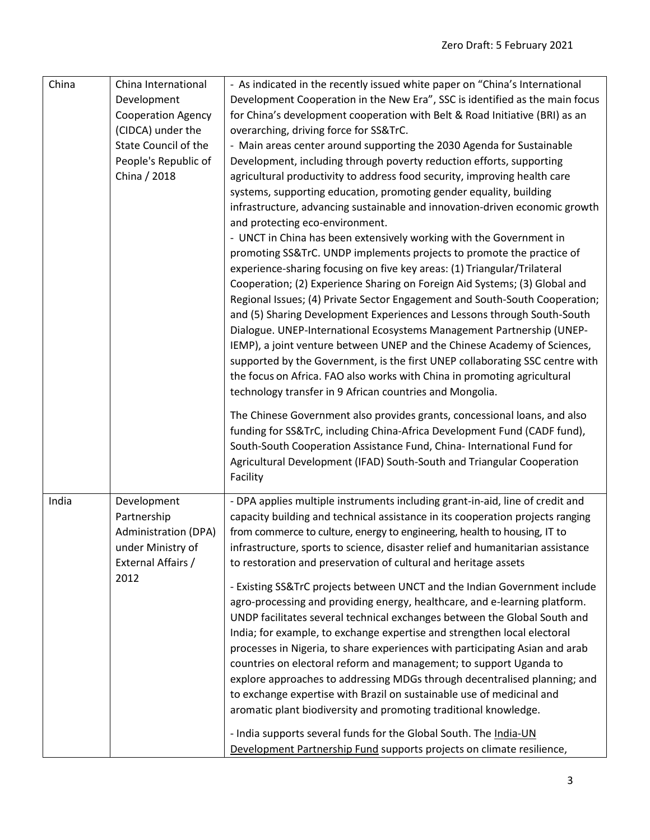| China | China International                                                                                  | - As indicated in the recently issued white paper on "China's International                                                                                                                                                                                                                                                                                                                                                                                                                                                                                                                                                                                                                                                                                            |
|-------|------------------------------------------------------------------------------------------------------|------------------------------------------------------------------------------------------------------------------------------------------------------------------------------------------------------------------------------------------------------------------------------------------------------------------------------------------------------------------------------------------------------------------------------------------------------------------------------------------------------------------------------------------------------------------------------------------------------------------------------------------------------------------------------------------------------------------------------------------------------------------------|
|       | Development                                                                                          | Development Cooperation in the New Era", SSC is identified as the main focus                                                                                                                                                                                                                                                                                                                                                                                                                                                                                                                                                                                                                                                                                           |
|       | <b>Cooperation Agency</b>                                                                            | for China's development cooperation with Belt & Road Initiative (BRI) as an                                                                                                                                                                                                                                                                                                                                                                                                                                                                                                                                                                                                                                                                                            |
|       | (CIDCA) under the                                                                                    | overarching, driving force for SS&TrC.                                                                                                                                                                                                                                                                                                                                                                                                                                                                                                                                                                                                                                                                                                                                 |
|       | State Council of the                                                                                 | - Main areas center around supporting the 2030 Agenda for Sustainable                                                                                                                                                                                                                                                                                                                                                                                                                                                                                                                                                                                                                                                                                                  |
|       | People's Republic of                                                                                 | Development, including through poverty reduction efforts, supporting                                                                                                                                                                                                                                                                                                                                                                                                                                                                                                                                                                                                                                                                                                   |
|       | China / 2018                                                                                         | agricultural productivity to address food security, improving health care                                                                                                                                                                                                                                                                                                                                                                                                                                                                                                                                                                                                                                                                                              |
|       |                                                                                                      | systems, supporting education, promoting gender equality, building<br>infrastructure, advancing sustainable and innovation-driven economic growth<br>and protecting eco-environment.<br>- UNCT in China has been extensively working with the Government in                                                                                                                                                                                                                                                                                                                                                                                                                                                                                                            |
|       |                                                                                                      | promoting SS&TrC. UNDP implements projects to promote the practice of<br>experience-sharing focusing on five key areas: (1) Triangular/Trilateral<br>Cooperation; (2) Experience Sharing on Foreign Aid Systems; (3) Global and<br>Regional Issues; (4) Private Sector Engagement and South-South Cooperation;<br>and (5) Sharing Development Experiences and Lessons through South-South<br>Dialogue. UNEP-International Ecosystems Management Partnership (UNEP-<br>IEMP), a joint venture between UNEP and the Chinese Academy of Sciences,<br>supported by the Government, is the first UNEP collaborating SSC centre with<br>the focus on Africa. FAO also works with China in promoting agricultural<br>technology transfer in 9 African countries and Mongolia. |
|       |                                                                                                      | The Chinese Government also provides grants, concessional loans, and also<br>funding for SS&TrC, including China-Africa Development Fund (CADF fund),<br>South-South Cooperation Assistance Fund, China- International Fund for<br>Agricultural Development (IFAD) South-South and Triangular Cooperation<br>Facility                                                                                                                                                                                                                                                                                                                                                                                                                                                  |
| India | Development<br>Partnership<br><b>Administration (DPA)</b><br>under Ministry of<br>External Affairs / | - DPA applies multiple instruments including grant-in-aid, line of credit and<br>capacity building and technical assistance in its cooperation projects ranging<br>from commerce to culture, energy to engineering, health to housing, IT to<br>infrastructure, sports to science, disaster relief and humanitarian assistance<br>to restoration and preservation of cultural and heritage assets                                                                                                                                                                                                                                                                                                                                                                      |
|       | 2012                                                                                                 | - Existing SS&TrC projects between UNCT and the Indian Government include<br>agro-processing and providing energy, healthcare, and e-learning platform.<br>UNDP facilitates several technical exchanges between the Global South and<br>India; for example, to exchange expertise and strengthen local electoral<br>processes in Nigeria, to share experiences with participating Asian and arab<br>countries on electoral reform and management; to support Uganda to<br>explore approaches to addressing MDGs through decentralised planning; and<br>to exchange expertise with Brazil on sustainable use of medicinal and<br>aromatic plant biodiversity and promoting traditional knowledge.                                                                       |
|       |                                                                                                      | - India supports several funds for the Global South. The India-UN<br>Development Partnership Fund supports projects on climate resilience,                                                                                                                                                                                                                                                                                                                                                                                                                                                                                                                                                                                                                             |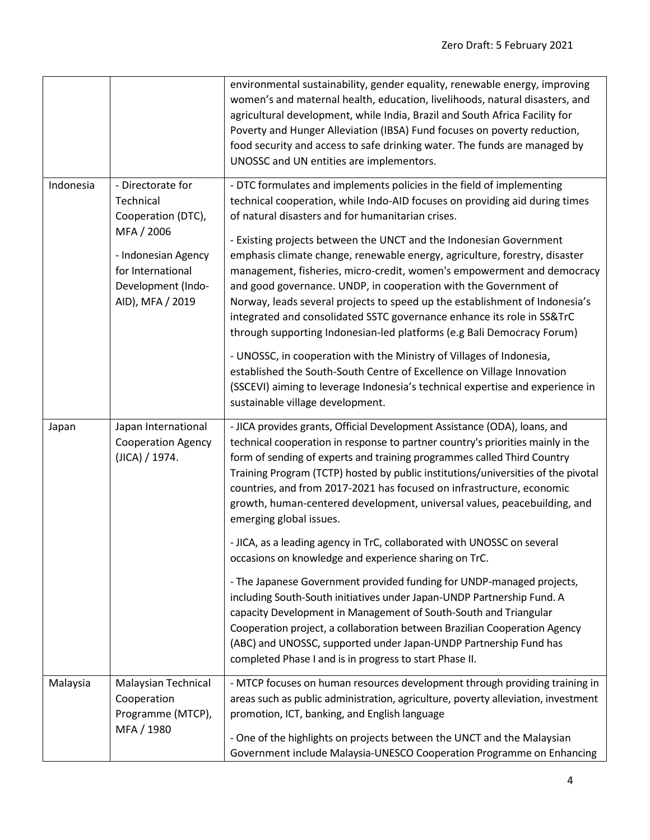|           |                                                                                                                                                          | environmental sustainability, gender equality, renewable energy, improving<br>women's and maternal health, education, livelihoods, natural disasters, and<br>agricultural development, while India, Brazil and South Africa Facility for<br>Poverty and Hunger Alleviation (IBSA) Fund focuses on poverty reduction,<br>food security and access to safe drinking water. The funds are managed by<br>UNOSSC and UN entities are implementors.                                                                                                                                                                                                                                                                                                                                                                                                                                                                                                                                                                         |
|-----------|----------------------------------------------------------------------------------------------------------------------------------------------------------|-----------------------------------------------------------------------------------------------------------------------------------------------------------------------------------------------------------------------------------------------------------------------------------------------------------------------------------------------------------------------------------------------------------------------------------------------------------------------------------------------------------------------------------------------------------------------------------------------------------------------------------------------------------------------------------------------------------------------------------------------------------------------------------------------------------------------------------------------------------------------------------------------------------------------------------------------------------------------------------------------------------------------|
| Indonesia | - Directorate for<br>Technical<br>Cooperation (DTC),<br>MFA / 2006<br>- Indonesian Agency<br>for International<br>Development (Indo-<br>AID), MFA / 2019 | - DTC formulates and implements policies in the field of implementing<br>technical cooperation, while Indo-AID focuses on providing aid during times<br>of natural disasters and for humanitarian crises.<br>- Existing projects between the UNCT and the Indonesian Government<br>emphasis climate change, renewable energy, agriculture, forestry, disaster<br>management, fisheries, micro-credit, women's empowerment and democracy<br>and good governance. UNDP, in cooperation with the Government of<br>Norway, leads several projects to speed up the establishment of Indonesia's<br>integrated and consolidated SSTC governance enhance its role in SS&TrC<br>through supporting Indonesian-led platforms (e.g Bali Democracy Forum)<br>- UNOSSC, in cooperation with the Ministry of Villages of Indonesia,<br>established the South-South Centre of Excellence on Village Innovation<br>(SSCEVI) aiming to leverage Indonesia's technical expertise and experience in<br>sustainable village development. |
| Japan     | Japan International<br><b>Cooperation Agency</b><br>(JICA) / 1974.                                                                                       | - JICA provides grants, Official Development Assistance (ODA), loans, and<br>technical cooperation in response to partner country's priorities mainly in the<br>form of sending of experts and training programmes called Third Country<br>Training Program (TCTP) hosted by public institutions/universities of the pivotal<br>countries, and from 2017-2021 has focused on infrastructure, economic<br>growth, human-centered development, universal values, peacebuilding, and<br>emerging global issues.<br>- JICA, as a leading agency in TrC, collaborated with UNOSSC on several<br>occasions on knowledge and experience sharing on TrC.<br>- The Japanese Government provided funding for UNDP-managed projects,<br>including South-South initiatives under Japan-UNDP Partnership Fund. A<br>capacity Development in Management of South-South and Triangular                                                                                                                                               |
| Malaysia  | <b>Malaysian Technical</b>                                                                                                                               | Cooperation project, a collaboration between Brazilian Cooperation Agency<br>(ABC) and UNOSSC, supported under Japan-UNDP Partnership Fund has<br>completed Phase I and is in progress to start Phase II.<br>- MTCP focuses on human resources development through providing training in                                                                                                                                                                                                                                                                                                                                                                                                                                                                                                                                                                                                                                                                                                                              |
|           | Cooperation<br>Programme (MTCP),<br>MFA / 1980                                                                                                           | areas such as public administration, agriculture, poverty alleviation, investment<br>promotion, ICT, banking, and English language<br>- One of the highlights on projects between the UNCT and the Malaysian<br>Government include Malaysia-UNESCO Cooperation Programme on Enhancing                                                                                                                                                                                                                                                                                                                                                                                                                                                                                                                                                                                                                                                                                                                                 |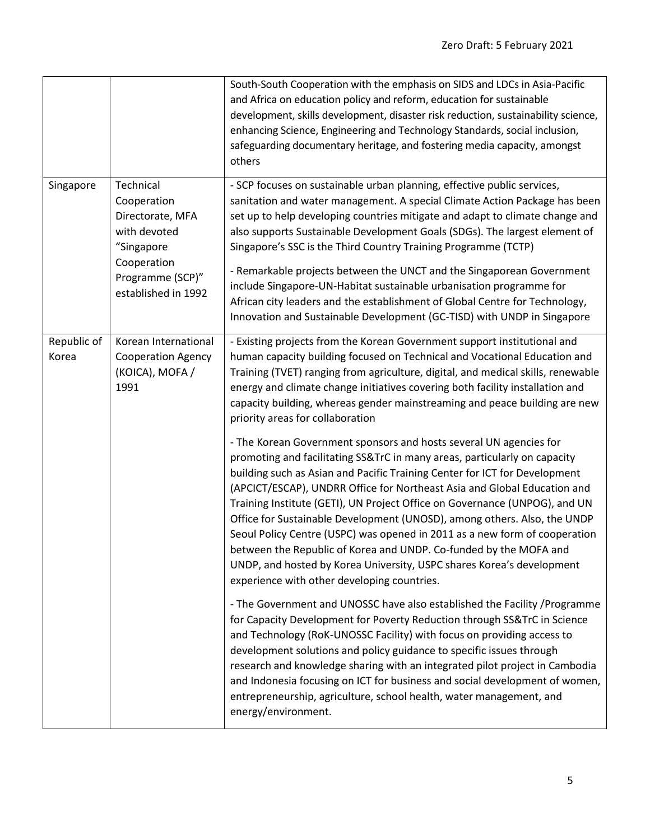|                      |                                                                                                                                      | South-South Cooperation with the emphasis on SIDS and LDCs in Asia-Pacific<br>and Africa on education policy and reform, education for sustainable<br>development, skills development, disaster risk reduction, sustainability science,<br>enhancing Science, Engineering and Technology Standards, social inclusion,<br>safeguarding documentary heritage, and fostering media capacity, amongst<br>others                                                                                                                                                                                                                                                                                                                                    |
|----------------------|--------------------------------------------------------------------------------------------------------------------------------------|------------------------------------------------------------------------------------------------------------------------------------------------------------------------------------------------------------------------------------------------------------------------------------------------------------------------------------------------------------------------------------------------------------------------------------------------------------------------------------------------------------------------------------------------------------------------------------------------------------------------------------------------------------------------------------------------------------------------------------------------|
| Singapore            | Technical<br>Cooperation<br>Directorate, MFA<br>with devoted<br>"Singapore<br>Cooperation<br>Programme (SCP)"<br>established in 1992 | - SCP focuses on sustainable urban planning, effective public services,<br>sanitation and water management. A special Climate Action Package has been<br>set up to help developing countries mitigate and adapt to climate change and<br>also supports Sustainable Development Goals (SDGs). The largest element of<br>Singapore's SSC is the Third Country Training Programme (TCTP)<br>- Remarkable projects between the UNCT and the Singaporean Government<br>include Singapore-UN-Habitat sustainable urbanisation programme for<br>African city leaders and the establishment of Global Centre for Technology,<br>Innovation and Sustainable Development (GC-TISD) with UNDP in Singapore                                                |
| Republic of<br>Korea | Korean International<br><b>Cooperation Agency</b><br>(KOICA), MOFA /<br>1991                                                         | - Existing projects from the Korean Government support institutional and<br>human capacity building focused on Technical and Vocational Education and<br>Training (TVET) ranging from agriculture, digital, and medical skills, renewable<br>energy and climate change initiatives covering both facility installation and<br>capacity building, whereas gender mainstreaming and peace building are new<br>priority areas for collaboration                                                                                                                                                                                                                                                                                                   |
|                      |                                                                                                                                      | - The Korean Government sponsors and hosts several UN agencies for<br>promoting and facilitating SS&TrC in many areas, particularly on capacity<br>building such as Asian and Pacific Training Center for ICT for Development<br>(APCICT/ESCAP), UNDRR Office for Northeast Asia and Global Education and<br>Training Institute (GETI), UN Project Office on Governance (UNPOG), and UN<br>Office for Sustainable Development (UNOSD), among others. Also, the UNDP<br>Seoul Policy Centre (USPC) was opened in 2011 as a new form of cooperation<br>between the Republic of Korea and UNDP. Co-funded by the MOFA and<br>UNDP, and hosted by Korea University, USPC shares Korea's development<br>experience with other developing countries. |
|                      |                                                                                                                                      | - The Government and UNOSSC have also established the Facility / Programme<br>for Capacity Development for Poverty Reduction through SS&TrC in Science<br>and Technology (RoK-UNOSSC Facility) with focus on providing access to<br>development solutions and policy guidance to specific issues through<br>research and knowledge sharing with an integrated pilot project in Cambodia<br>and Indonesia focusing on ICT for business and social development of women,<br>entrepreneurship, agriculture, school health, water management, and<br>energy/environment.                                                                                                                                                                           |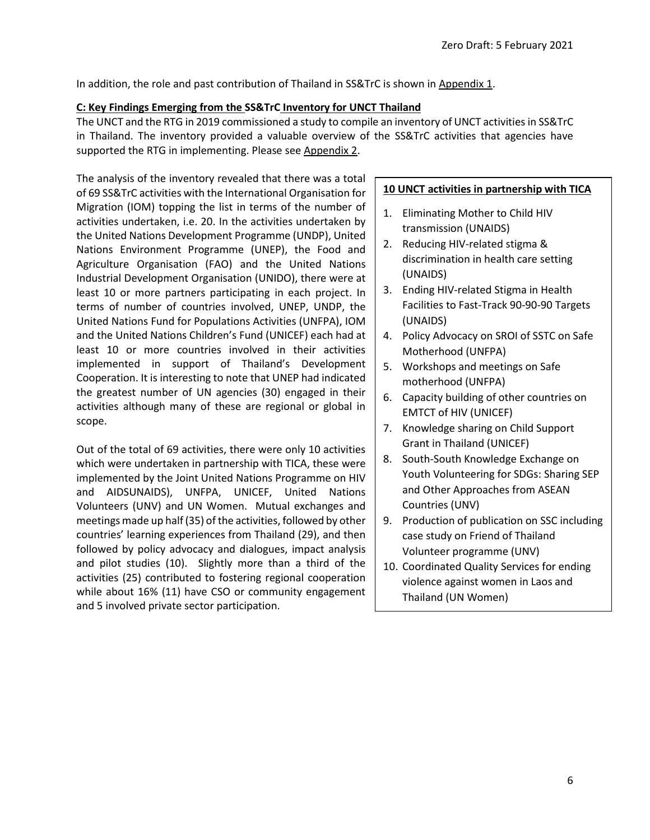In addition, the role and past contribution of Thailand in SS&TrC is shown in Appendix 1.

### **C: Key Findings Emerging from the SS&TrC Inventory for UNCT Thailand**

The UNCT and the RTG in 2019 commissioned a study to compile an inventory of UNCT activities in SS&TrC in Thailand. The inventory provided a valuable overview of the SS&TrC activities that agencies have supported the RTG in implementing. Please see Appendix 2.

The analysis of the inventory revealed that there was a total of 69 SS&TrC activities with the International Organisation for Migration (IOM) topping the list in terms of the number of activities undertaken, i.e. 20. In the activities undertaken by the United Nations Development Programme (UNDP), United Nations Environment Programme (UNEP), the Food and Agriculture Organisation (FAO) and the United Nations Industrial Development Organisation (UNIDO), there were at least 10 or more partners participating in each project. In terms of number of countries involved, UNEP, UNDP, the United Nations Fund for Populations Activities (UNFPA), IOM and the United Nations Children's Fund (UNICEF) each had at least 10 or more countries involved in their activities implemented in support of Thailand's Development Cooperation. It is interesting to note that UNEP had indicated the greatest number of UN agencies (30) engaged in their activities although many of these are regional or global in scope.

Out of the total of 69 activities, there were only 10 activities which were undertaken in partnership with TICA, these were implemented by the Joint United Nations Programme on HIV and AIDSUNAIDS), UNFPA, UNICEF, United Nations Volunteers (UNV) and UN Women. Mutual exchanges and meetings made up half (35) of the activities, followed by other countries' learning experiences from Thailand (29), and then followed by policy advocacy and dialogues, impact analysis and pilot studies (10). Slightly more than a third of the activities (25) contributed to fostering regional cooperation while about 16% (11) have CSO or community engagement and 5 involved private sector participation.

### **10 UNCT activities in partnership with TICA**

- 1. Eliminating Mother to Child HIV transmission (UNAIDS)
- 2. Reducing HIV-related stigma & discrimination in health care setting (UNAIDS)
- 3. Ending HIV-related Stigma in Health Facilities to Fast-Track 90-90-90 Targets (UNAIDS)
- 4. Policy Advocacy on SROI of SSTC on Safe Motherhood (UNFPA)
- 5. Workshops and meetings on Safe motherhood (UNFPA)
- 6. Capacity building of other countries on EMTCT of HIV (UNICEF)
- 7. Knowledge sharing on Child Support Grant in Thailand (UNICEF)
- 8. South-South Knowledge Exchange on Youth Volunteering for SDGs: Sharing SEP and Other Approaches from ASEAN Countries (UNV)
- 9. Production of publication on SSC including case study on Friend of Thailand Volunteer programme (UNV)
- 10. Coordinated Quality Services for ending violence against women in Laos and Thailand (UN Women)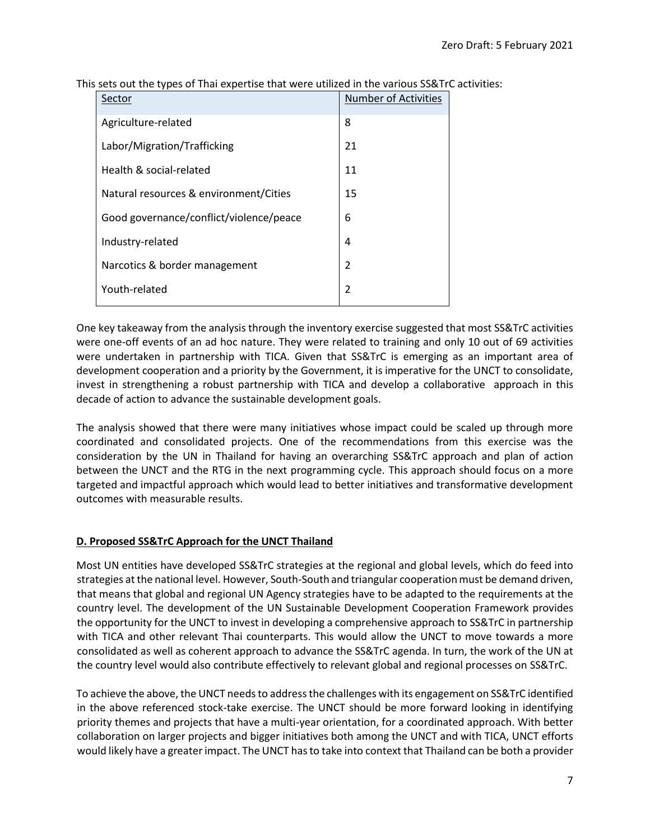| Sector                                  | <b>Number of Activities</b> |
|-----------------------------------------|-----------------------------|
| Agriculture-related                     | 8                           |
| Labor/Migration/Trafficking             | 21                          |
| Health & social-related                 | 11                          |
| Natural resources & environment/Cities  | 15                          |
| Good governance/conflict/violence/peace | 6                           |
| Industry-related                        | 4                           |
| Narcotics & border management           | $\mathfrak{p}$              |
| Youth-related                           | $\overline{2}$              |

This sets out the types of Thai expertise that were utilized in the various SS&TrC activities:

One key takeaway from the analysis through the inventory exercise suggested that most SS&TrC activities were one-off events of an ad hoc nature. They were related to training and only 10 out of 69 activities were undertaken in partnership with TICA. Given that SS&TrC is emerging as an important area of development cooperation and a priority by the Government, it is imperative for the UNCT to consolidate, invest in strengthening a robust partnership with TICA and develop a collaborative approach in this decade of action to advance the sustainable development goals.

The analysis showed that there were many initiatives whose impact could be scaled up through more coordinated and consolidated projects. One of the recommendations from this exercise was the consideration by the UN in Thailand for having an overarching SS&TrC approach and plan of action between the UNCT and the RTG in the next programming cycle. This approach should focus on a more targeted and impactful approach which would lead to better initiatives and transformative development outcomes with measurable results.

### **D. Proposed SS&TrC Approach for the UNCT Thailand**

Most UN entities have developed SS&TrC strategies at the regional and global levels, which do feed into strategies at the national level. However, South-South and triangular cooperation must be demand driven, that means that global and regional UN Agency strategies have to be adapted to the requirements at the country level. The development of the UN Sustainable Development Cooperation Framework provides the opportunity for the UNCT to invest in developing a comprehensive approach to SS&TrC in partnership with TICA and other relevant Thai counterparts. This would allow the UNCT to move towards a more consolidated as well as coherent approach to advance the SS&TrC agenda. In turn, the work of the UN at the country level would also contribute effectively to relevant global and regional processes on SS&TrC.

To achieve the above, the UNCT needs to address the challenges with its engagement on SS&TrC identified in the above referenced stock-take exercise. The UNCT should be more forward looking in identifying priority themes and projects that have a multi-year orientation, for a coordinated approach. With better collaboration on larger projects and bigger initiatives both among the UNCT and with TICA, UNCT efforts would likely have a greater impact. The UNCT has to take into context that Thailand can be both a provider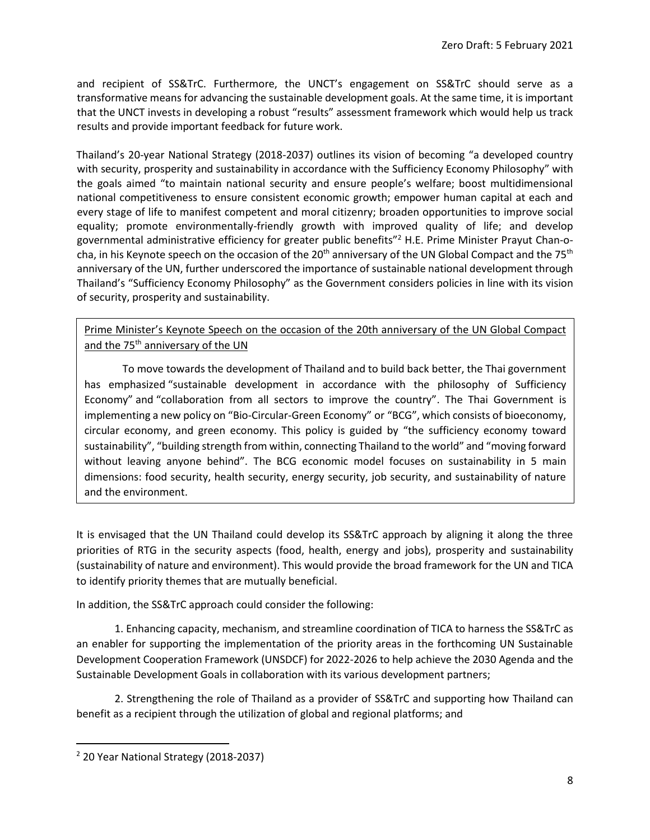and recipient of SS&TrC. Furthermore, the UNCT's engagement on SS&TrC should serve as a transformative means for advancing the sustainable development goals. At the same time, it is important that the UNCT invests in developing a robust "results" assessment framework which would help us track results and provide important feedback for future work.

Thailand's 20-year National Strategy (2018-2037) outlines its vision of becoming "a developed country with security, prosperity and sustainability in accordance with the Sufficiency Economy Philosophy" with the goals aimed "to maintain national security and ensure people's welfare; boost multidimensional national competitiveness to ensure consistent economic growth; empower human capital at each and every stage of life to manifest competent and moral citizenry; broaden opportunities to improve social equality; promote environmentally-friendly growth with improved quality of life; and develop governmental administrative efficiency for greater public benefits"<sup>2</sup> H.E. Prime Minister Prayut Chan-ocha, in his Keynote speech on the occasion of the 20<sup>th</sup> anniversary of the UN Global Compact and the 75<sup>th</sup> anniversary of the UN, further underscored the importance of sustainable national development through Thailand's "Sufficiency Economy Philosophy" as the Government considers policies in line with its vision of security, prosperity and sustainability.

Prime Minister's Keynote Speech on the occasion of the 20th anniversary of the UN Global Compact and the 75<sup>th</sup> anniversary of the UN

To move towards the development of Thailand and to build back better, the Thai government has emphasized "sustainable development in accordance with the philosophy of Sufficiency Economy" and "collaboration from all sectors to improve the country". The Thai Government is implementing a new policy on "Bio-Circular-Green Economy" or "BCG", which consists of bioeconomy, circular economy, and green economy. This policy is guided by "the sufficiency economy toward sustainability", "building strength from within, connecting Thailand to the world" and "moving forward without leaving anyone behind". The BCG economic model focuses on sustainability in 5 main dimensions: food security, health security, energy security, job security, and sustainability of nature and the environment.

It is envisaged that the UN Thailand could develop its SS&TrC approach by aligning it along the three priorities of RTG in the security aspects (food, health, energy and jobs), prosperity and sustainability (sustainability of nature and environment). This would provide the broad framework for the UN and TICA to identify priority themes that are mutually beneficial.

In addition, the SS&TrC approach could consider the following:

1. Enhancing capacity, mechanism, and streamline coordination of TICA to harness the SS&TrC as an enabler for supporting the implementation of the priority areas in the forthcoming UN Sustainable Development Cooperation Framework (UNSDCF) for 2022-2026 to help achieve the 2030 Agenda and the Sustainable Development Goals in collaboration with its various development partners;

2. Strengthening the role of Thailand as a provider of SS&TrC and supporting how Thailand can benefit as a recipient through the utilization of global and regional platforms; and

<sup>2</sup> 20 Year National Strategy (2018-2037)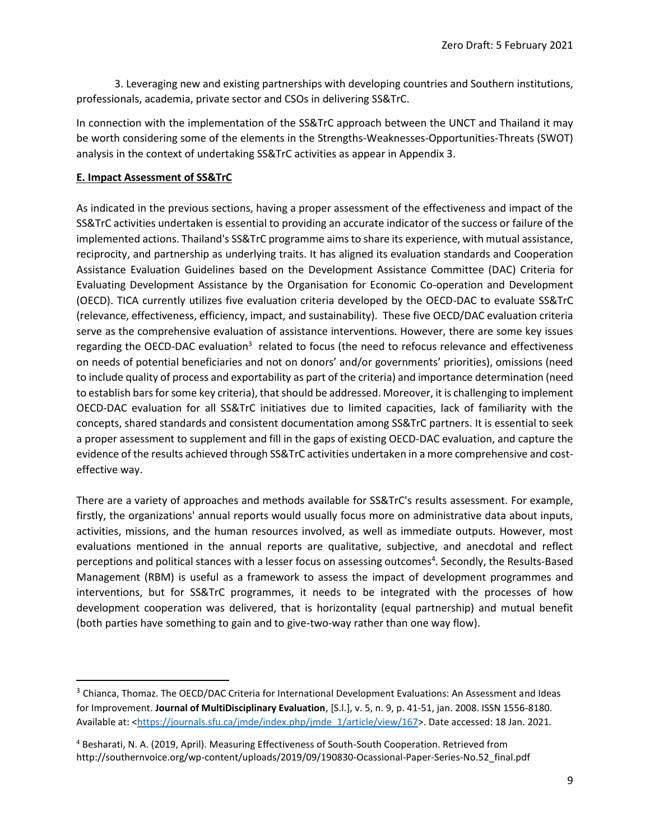3. Leveraging new and existing partnerships with developing countries and Southern institutions, professionals, academia, private sector and CSOs in delivering SS&TrC.

In connection with the implementation of the SS&TrC approach between the UNCT and Thailand it may be worth considering some of the elements in the Strengths-Weaknesses-Opportunities-Threats (SWOT) analysis in the context of undertaking SS&TrC activities as appear in Appendix 3.

### **E. Impact Assessment of SS&TrC**

As indicated in the previous sections, having a proper assessment of the effectiveness and impact of the SS&TrC activities undertaken is essential to providing an accurate indicator of the success or failure of the implemented actions. Thailand's SS&TrC programme aims to share its experience, with mutual assistance, reciprocity, and partnership as underlying traits. It has aligned its evaluation standards and Cooperation Assistance Evaluation Guidelines based on the Development Assistance Committee (DAC) Criteria for Evaluating Development Assistance by the Organisation for Economic Co-operation and Development (OECD). TICA currently utilizes five evaluation criteria developed by the OECD-DAC to evaluate SS&TrC (relevance, effectiveness, efficiency, impact, and sustainability). These five OECD/DAC evaluation criteria serve as the comprehensive evaluation of assistance interventions. However, there are some key issues regarding the OECD-DAC evaluation<sup>3</sup> related to focus (the need to refocus relevance and effectiveness on needs of potential beneficiaries and not on donors' and/or governments' priorities), omissions (need to include quality of process and exportability as part of the criteria) and importance determination (need to establish bars for some key criteria), that should be addressed. Moreover, it is challenging to implement OECD-DAC evaluation for all SS&TrC initiatives due to limited capacities, lack of familiarity with the concepts, shared standards and consistent documentation among SS&TrC partners. It is essential to seek a proper assessment to supplement and fill in the gaps of existing OECD-DAC evaluation, and capture the evidence of the results achieved through SS&TrC activities undertaken in a more comprehensive and costeffective way.

There are a variety of approaches and methods available for SS&TrC's results assessment. For example, firstly, the organizations' annual reports would usually focus more on administrative data about inputs, activities, missions, and the human resources involved, as well as immediate outputs. However, most evaluations mentioned in the annual reports are qualitative, subjective, and anecdotal and reflect perceptions and political stances with a lesser focus on assessing outcomes<sup>4</sup>. Secondly, the Results-Based Management (RBM) is useful as a framework to assess the impact of development programmes and interventions, but for SS&TrC programmes, it needs to be integrated with the processes of how development cooperation was delivered, that is horizontality (equal partnership) and mutual benefit (both parties have something to gain and to give-two-way rather than one way flow).

<sup>&</sup>lt;sup>3</sup> Chianca, Thomaz. The OECD/DAC Criteria for International Development Evaluations: An Assessment and Ideas for Improvement. **Journal of MultiDisciplinary Evaluation**, [S.l.], v. 5, n. 9, p. 41-51, jan. 2008. ISSN 1556-8180. Available at: [<https://journals.sfu.ca/jmde/index.php/jmde\\_1/article/view/167>](https://journals.sfu.ca/jmde/index.php/jmde_1/article/view/167). Date accessed: 18 Jan. 2021.

<sup>4</sup> Besharati, N. A. (2019, April). Measuring Effectiveness of South-South Cooperation. Retrieved from http://southernvoice.org/wp-content/uploads/2019/09/190830-Ocassional-Paper-Series-No.52\_final.pdf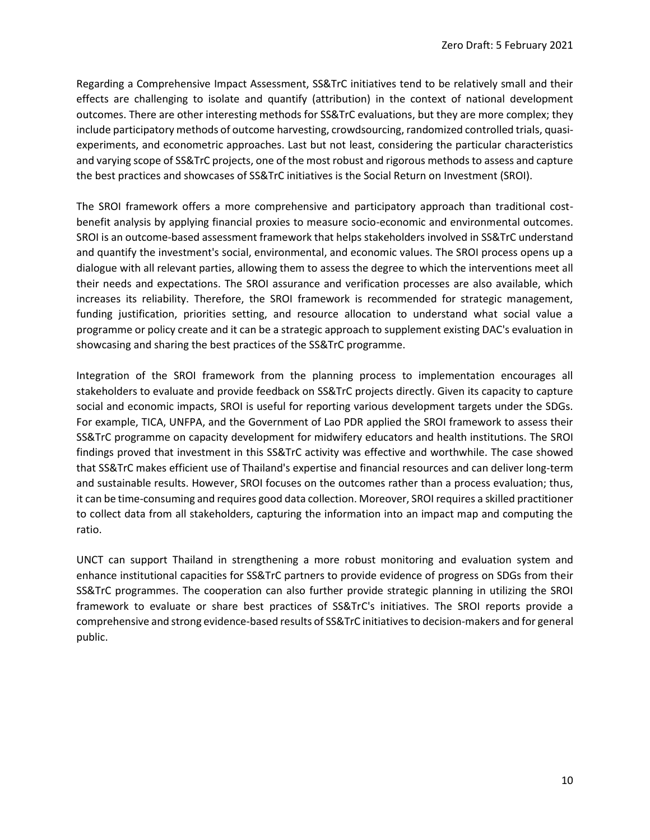Regarding a Comprehensive Impact Assessment, SS&TrC initiatives tend to be relatively small and their effects are challenging to isolate and quantify (attribution) in the context of national development outcomes. There are other interesting methods for SS&TrC evaluations, but they are more complex; they include participatory methods of outcome harvesting, crowdsourcing, randomized controlled trials, quasiexperiments, and econometric approaches. Last but not least, considering the particular characteristics and varying scope of SS&TrC projects, one of the most robust and rigorous methods to assess and capture the best practices and showcases of SS&TrC initiatives is the Social Return on Investment (SROI).

The SROI framework offers a more comprehensive and participatory approach than traditional costbenefit analysis by applying financial proxies to measure socio-economic and environmental outcomes. SROI is an outcome-based assessment framework that helps stakeholders involved in SS&TrC understand and quantify the investment's social, environmental, and economic values. The SROI process opens up a dialogue with all relevant parties, allowing them to assess the degree to which the interventions meet all their needs and expectations. The SROI assurance and verification processes are also available, which increases its reliability. Therefore, the SROI framework is recommended for strategic management, funding justification, priorities setting, and resource allocation to understand what social value a programme or policy create and it can be a strategic approach to supplement existing DAC's evaluation in showcasing and sharing the best practices of the SS&TrC programme.

Integration of the SROI framework from the planning process to implementation encourages all stakeholders to evaluate and provide feedback on SS&TrC projects directly. Given its capacity to capture social and economic impacts, SROI is useful for reporting various development targets under the SDGs. For example, TICA, UNFPA, and the Government of Lao PDR applied the SROI framework to assess their SS&TrC programme on capacity development for midwifery educators and health institutions. The SROI findings proved that investment in this SS&TrC activity was effective and worthwhile. The case showed that SS&TrC makes efficient use of Thailand's expertise and financial resources and can deliver long-term and sustainable results. However, SROI focuses on the outcomes rather than a process evaluation; thus, it can be time-consuming and requires good data collection. Moreover, SROI requires a skilled practitioner to collect data from all stakeholders, capturing the information into an impact map and computing the ratio.

UNCT can support Thailand in strengthening a more robust monitoring and evaluation system and enhance institutional capacities for SS&TrC partners to provide evidence of progress on SDGs from their SS&TrC programmes. The cooperation can also further provide strategic planning in utilizing the SROI framework to evaluate or share best practices of SS&TrC's initiatives. The SROI reports provide a comprehensive and strong evidence-based results of SS&TrC initiatives to decision-makers and for general public.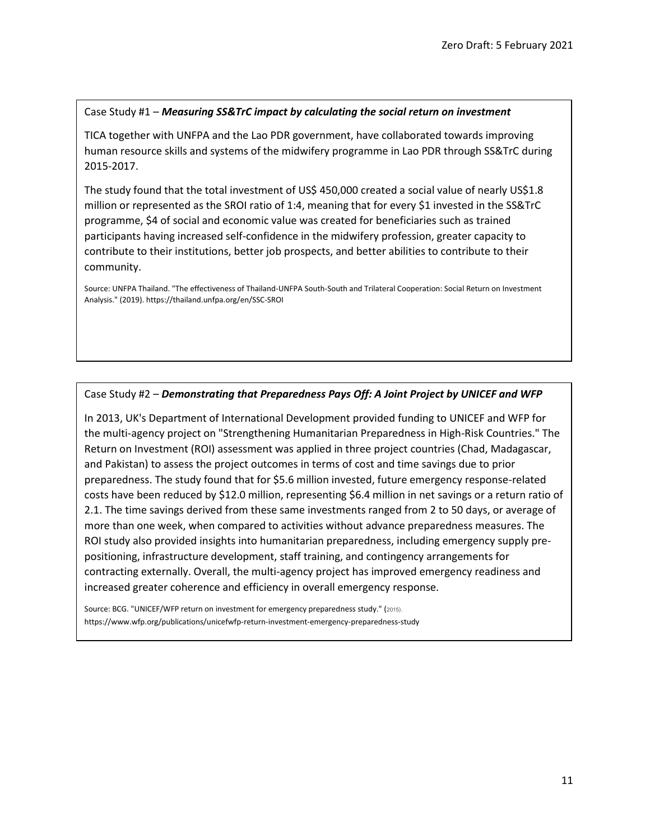#### Case Study #1 – *Measuring SS&TrC impact by calculating the social return on investment*

TICA together with UNFPA and the Lao PDR government, have collaborated towards improving human resource skills and systems of the midwifery programme in Lao PDR through SS&TrC during 2015-2017.

The study found that the total investment of US\$ 450,000 created a social value of nearly US\$1.8 million or represented as the SROI ratio of 1:4, meaning that for every \$1 invested in the SS&TrC programme, \$4 of social and economic value was created for beneficiaries such as trained participants having increased self-confidence in the midwifery profession, greater capacity to contribute to their institutions, better job prospects, and better abilities to contribute to their community.

Source: UNFPA Thailand. "The effectiveness of Thailand-UNFPA South-South and Trilateral Cooperation: Social Return on Investment Analysis." (2019). https://thailand.unfpa.org/en/SSC-SROI

#### Case Study #2 – *Demonstrating that Preparedness Pays Off: A Joint Project by UNICEF and WFP*

In 2013, UK's Department of International Development provided funding to UNICEF and WFP for the multi-agency project on "Strengthening Humanitarian Preparedness in High-Risk Countries." The Return on Investment (ROI) assessment was applied in three project countries (Chad, Madagascar, and Pakistan) to assess the project outcomes in terms of cost and time savings due to prior preparedness. The study found that for \$5.6 million invested, future emergency response-related costs have been reduced by \$12.0 million, representing \$6.4 million in net savings or a return ratio of 2.1. The time savings derived from these same investments ranged from 2 to 50 days, or average of more than one week, when compared to activities without advance preparedness measures. The ROI study also provided insights into humanitarian preparedness, including emergency supply prepositioning, infrastructure development, staff training, and contingency arrangements for contracting externally. Overall, the multi-agency project has improved emergency readiness and increased greater coherence and efficiency in overall emergency response.

Source: BCG. "UNICEF/WFP return on investment for emergency preparedness study." (2015). https://www.wfp.org/publications/unicefwfp-return-investment-emergency-preparedness-study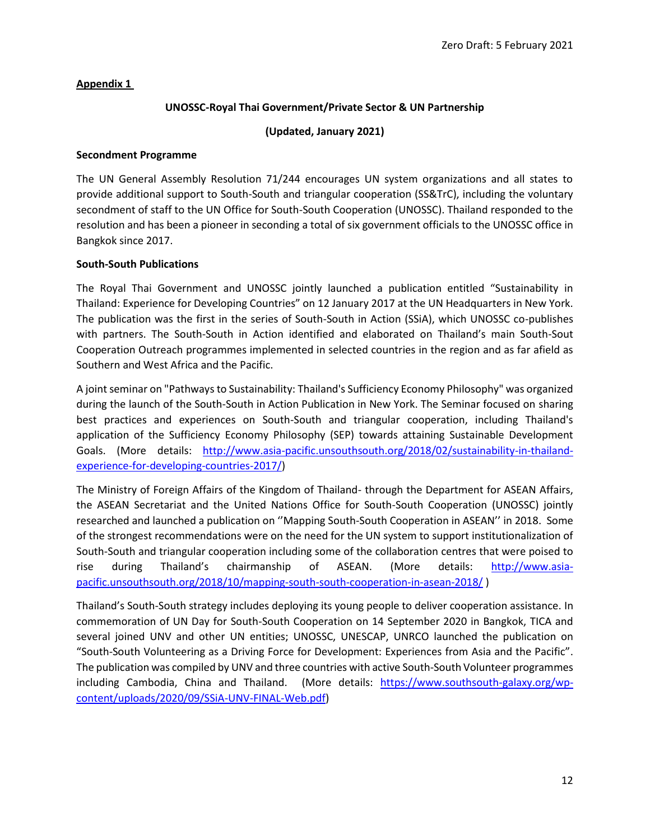### **Appendix 1**

### **UNOSSC-Royal Thai Government/Private Sector & UN Partnership**

### **(Updated, January 2021)**

### **Secondment Programme**

The UN General Assembly Resolution 71/244 encourages UN system organizations and all states to provide additional support to South-South and triangular cooperation (SS&TrC), including the voluntary secondment of staff to the UN Office for South-South Cooperation (UNOSSC). Thailand responded to the resolution and has been a pioneer in seconding a total of six government officials to the UNOSSC office in Bangkok since 2017.

### **South-South Publications**

The Royal Thai Government and UNOSSC jointly launched a publication entitled "Sustainability in Thailand: Experience for Developing Countries" on 12 January 2017 at the UN Headquarters in New York. The publication was the first in the series of South-South in Action (SSiA), which UNOSSC co-publishes with partners. The South-South in Action identified and elaborated on Thailand's main South-Sout Cooperation Outreach programmes implemented in selected countries in the region and as far afield as Southern and West Africa and the Pacific.

A joint seminar on "Pathways to Sustainability: Thailand's Sufficiency Economy Philosophy" was organized during the launch of the South-South in Action Publication in New York. The Seminar focused on sharing best practices and experiences on South-South and triangular cooperation, including Thailand's application of the Sufficiency Economy Philosophy (SEP) towards attaining Sustainable Development Goals. (More details: [http://www.asia-pacific.unsouthsouth.org/2018/02/sustainability-in-thailand](http://www.asia-pacific.unsouthsouth.org/2018/02/sustainability-in-thailand-experience-for-developing-countries-2017/)[experience-for-developing-countries-2017/\)](http://www.asia-pacific.unsouthsouth.org/2018/02/sustainability-in-thailand-experience-for-developing-countries-2017/)

The Ministry of Foreign Affairs of the Kingdom of Thailand- through the Department for ASEAN Affairs, the ASEAN Secretariat and the United Nations Office for South-South Cooperation (UNOSSC) jointly researched and launched a publication on ''Mapping South-South Cooperation in ASEAN'' in 2018. Some of the strongest recommendations were on the need for the UN system to support institutionalization of South-South and triangular cooperation including some of the collaboration centres that were poised to rise during Thailand's chairmanship of ASEAN. (More details: [http://www.asia](http://www.asia-pacific.unsouthsouth.org/2018/10/mapping-south-south-cooperation-in-asean-2018/)[pacific.unsouthsouth.org/2018/10/mapping-south-south-cooperation-in-asean-2018/](http://www.asia-pacific.unsouthsouth.org/2018/10/mapping-south-south-cooperation-in-asean-2018/) )

Thailand's South-South strategy includes deploying its young people to deliver cooperation assistance. In commemoration of UN Day for South-South Cooperation on 14 September 2020 in Bangkok, TICA and several joined UNV and other UN entities; UNOSSC, UNESCAP, UNRCO launched the publication on "South-South Volunteering as a Driving Force for Development: Experiences from Asia and the Pacific". The publication was compiled by UNV and three countries with active South-South Volunteer programmes including Cambodia, China and Thailand. (More details: [https://www.southsouth-galaxy.org/wp](https://www.southsouth-galaxy.org/wp-content/uploads/2020/09/SSiA-UNV-FINAL-Web.pdf)[content/uploads/2020/09/SSiA-UNV-FINAL-Web.pdf\)](https://www.southsouth-galaxy.org/wp-content/uploads/2020/09/SSiA-UNV-FINAL-Web.pdf)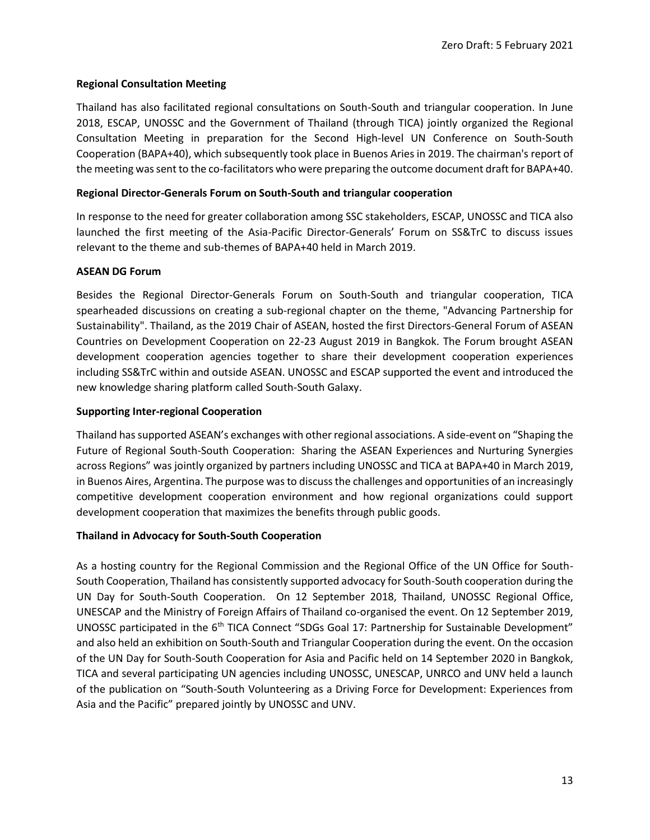### **Regional Consultation Meeting**

Thailand has also facilitated regional consultations on South-South and triangular cooperation. In June 2018, ESCAP, UNOSSC and the Government of Thailand (through TICA) jointly organized the Regional Consultation Meeting in preparation for the Second High-level UN Conference on South-South Cooperation (BAPA+40), which subsequently took place in Buenos Aries in 2019. The chairman's report of the meeting was sent to the co-facilitators who were preparing the outcome document draft for BAPA+40.

### **Regional Director-Generals Forum on South-South and triangular cooperation**

In response to the need for greater collaboration among SSC stakeholders, ESCAP, UNOSSC and TICA also launched the first meeting of the Asia-Pacific Director-Generals' Forum on SS&TrC to discuss issues relevant to the theme and sub-themes of BAPA+40 held in March 2019.

### **ASEAN DG Forum**

Besides the Regional Director-Generals Forum on South-South and triangular cooperation, TICA spearheaded discussions on creating a sub-regional chapter on the theme, "Advancing Partnership for Sustainability". Thailand, as the 2019 Chair of ASEAN, hosted the first Directors-General Forum of ASEAN Countries on Development Cooperation on 22-23 August 2019 in Bangkok. The Forum brought ASEAN development cooperation agencies together to share their development cooperation experiences including SS&TrC within and outside ASEAN. UNOSSC and ESCAP supported the event and introduced the new knowledge sharing platform called South-South Galaxy.

### **Supporting Inter-regional Cooperation**

Thailand has supported ASEAN's exchanges with other regional associations. A side-event on "Shaping the Future of Regional South-South Cooperation: Sharing the ASEAN Experiences and Nurturing Synergies across Regions" was jointly organized by partners including UNOSSC and TICA at BAPA+40 in March 2019, in Buenos Aires, Argentina. The purpose was to discuss the challenges and opportunities of an increasingly competitive development cooperation environment and how regional organizations could support development cooperation that maximizes the benefits through public goods.

### **Thailand in Advocacy for South-South Cooperation**

As a hosting country for the Regional Commission and the Regional Office of the UN Office for South-South Cooperation, Thailand has consistently supported advocacy for South-South cooperation during the UN Day for South-South Cooperation. On 12 September 2018, Thailand, UNOSSC Regional Office, UNESCAP and the Ministry of Foreign Affairs of Thailand co-organised the event. On 12 September 2019, UNOSSC participated in the 6<sup>th</sup> TICA Connect "SDGs Goal 17: Partnership for Sustainable Development" and also held an exhibition on South-South and Triangular Cooperation during the event. On the occasion of the UN Day for South-South Cooperation for Asia and Pacific held on 14 September 2020 in Bangkok, TICA and several participating UN agencies including UNOSSC, UNESCAP, UNRCO and UNV held a launch of the publication on "South-South Volunteering as a Driving Force for Development: Experiences from Asia and the Pacific" prepared jointly by UNOSSC and UNV.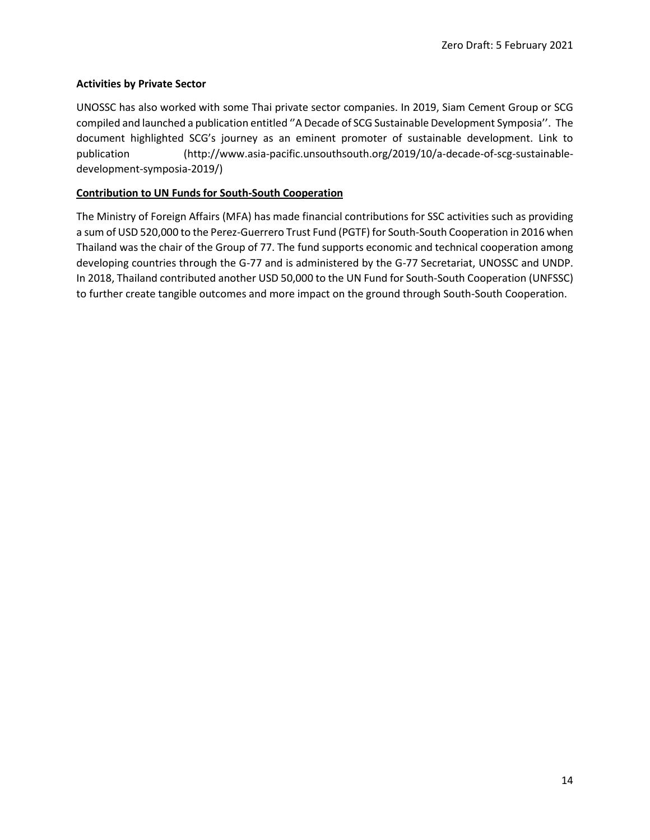### **Activities by Private Sector**

UNOSSC has also worked with some Thai private sector companies. In 2019, Siam Cement Group or SCG compiled and launched a publication entitled ''A Decade of SCG Sustainable Development Symposia''. The document highlighted SCG's journey as an eminent promoter of sustainable development. Link to publication (http://www.asia-pacific.unsouthsouth.org/2019/10/a-decade-of-scg-sustainabledevelopment-symposia-2019/)

### **Contribution to UN Funds for South-South Cooperation**

The Ministry of Foreign Affairs (MFA) has made financial contributions for SSC activities such as providing a sum of USD 520,000 to the Perez-Guerrero Trust Fund (PGTF) for South-South Cooperation in 2016 when Thailand was the chair of the Group of 77. The fund supports economic and technical cooperation among developing countries through the G-77 and is administered by the G-77 Secretariat, UNOSSC and UNDP. In 2018, Thailand contributed another USD 50,000 to the UN Fund for South-South Cooperation (UNFSSC) to further create tangible outcomes and more impact on the ground through South-South Cooperation.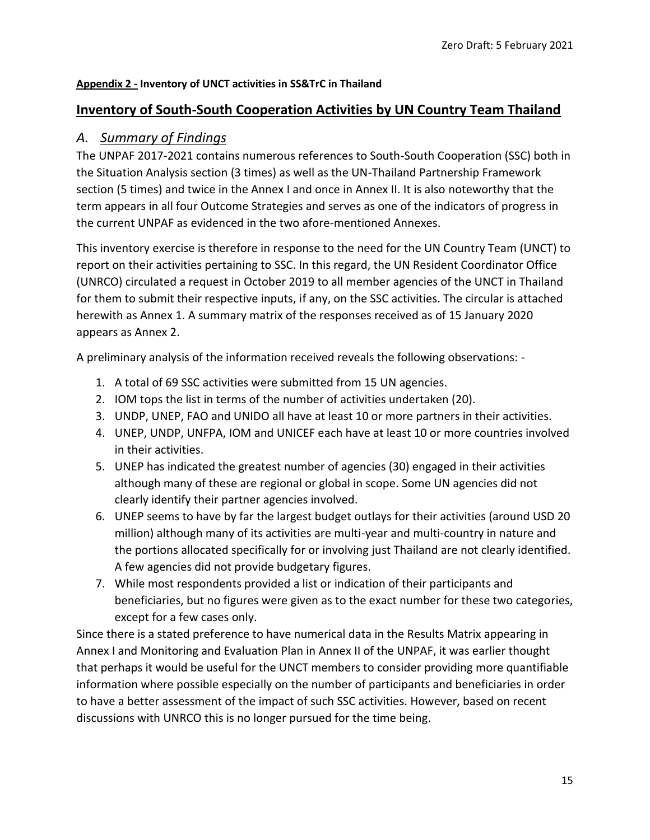### **Appendix 2 - Inventory of UNCT activities in SS&TrC in Thailand**

### **Inventory of South-South Cooperation Activities by UN Country Team Thailand**

### *A. Summary of Findings*

The UNPAF 2017-2021 contains numerous references to South-South Cooperation (SSC) both in the Situation Analysis section (3 times) as well as the UN-Thailand Partnership Framework section (5 times) and twice in the Annex I and once in Annex II. It is also noteworthy that the term appears in all four Outcome Strategies and serves as one of the indicators of progress in the current UNPAF as evidenced in the two afore-mentioned Annexes.

This inventory exercise is therefore in response to the need for the UN Country Team (UNCT) to report on their activities pertaining to SSC. In this regard, the UN Resident Coordinator Office (UNRCO) circulated a request in October 2019 to all member agencies of the UNCT in Thailand for them to submit their respective inputs, if any, on the SSC activities. The circular is attached herewith as Annex 1. A summary matrix of the responses received as of 15 January 2020 appears as Annex 2.

A preliminary analysis of the information received reveals the following observations: -

- 1. A total of 69 SSC activities were submitted from 15 UN agencies.
- 2. IOM tops the list in terms of the number of activities undertaken (20).
- 3. UNDP, UNEP, FAO and UNIDO all have at least 10 or more partners in their activities.
- 4. UNEP, UNDP, UNFPA, IOM and UNICEF each have at least 10 or more countries involved in their activities.
- 5. UNEP has indicated the greatest number of agencies (30) engaged in their activities although many of these are regional or global in scope. Some UN agencies did not clearly identify their partner agencies involved.
- 6. UNEP seems to have by far the largest budget outlays for their activities (around USD 20 million) although many of its activities are multi-year and multi-country in nature and the portions allocated specifically for or involving just Thailand are not clearly identified. A few agencies did not provide budgetary figures.
- 7. While most respondents provided a list or indication of their participants and beneficiaries, but no figures were given as to the exact number for these two categories, except for a few cases only.

Since there is a stated preference to have numerical data in the Results Matrix appearing in Annex I and Monitoring and Evaluation Plan in Annex II of the UNPAF, it was earlier thought that perhaps it would be useful for the UNCT members to consider providing more quantifiable information where possible especially on the number of participants and beneficiaries in order to have a better assessment of the impact of such SSC activities. However, based on recent discussions with UNRCO this is no longer pursued for the time being.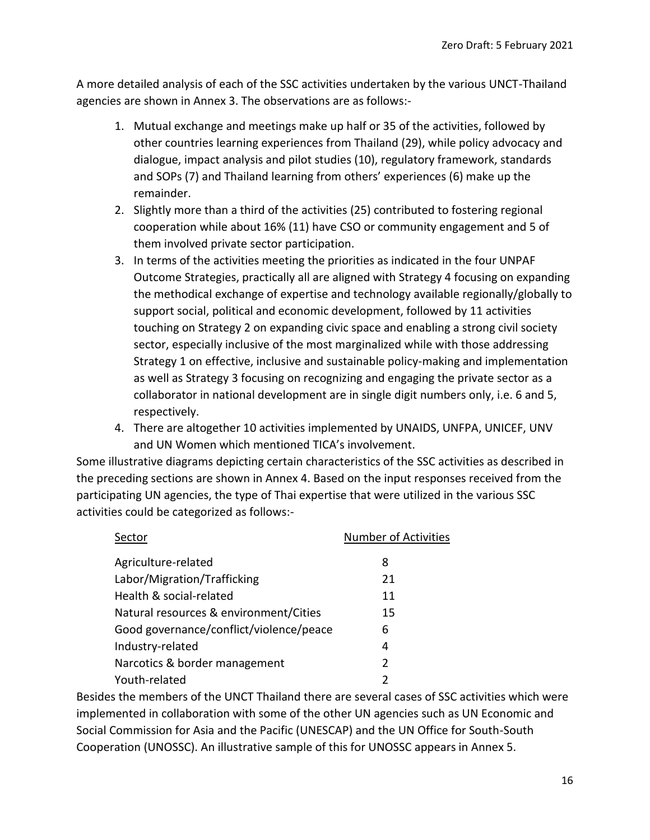A more detailed analysis of each of the SSC activities undertaken by the various UNCT-Thailand agencies are shown in Annex 3. The observations are as follows:-

- 1. Mutual exchange and meetings make up half or 35 of the activities, followed by other countries learning experiences from Thailand (29), while policy advocacy and dialogue, impact analysis and pilot studies (10), regulatory framework, standards and SOPs (7) and Thailand learning from others' experiences (6) make up the remainder.
- 2. Slightly more than a third of the activities (25) contributed to fostering regional cooperation while about 16% (11) have CSO or community engagement and 5 of them involved private sector participation.
- 3. In terms of the activities meeting the priorities as indicated in the four UNPAF Outcome Strategies, practically all are aligned with Strategy 4 focusing on expanding the methodical exchange of expertise and technology available regionally/globally to support social, political and economic development, followed by 11 activities touching on Strategy 2 on expanding civic space and enabling a strong civil society sector, especially inclusive of the most marginalized while with those addressing Strategy 1 on effective, inclusive and sustainable policy-making and implementation as well as Strategy 3 focusing on recognizing and engaging the private sector as a collaborator in national development are in single digit numbers only, i.e. 6 and 5, respectively.
- 4. There are altogether 10 activities implemented by UNAIDS, UNFPA, UNICEF, UNV and UN Women which mentioned TICA's involvement.

Some illustrative diagrams depicting certain characteristics of the SSC activities as described in the preceding sections are shown in Annex 4. Based on the input responses received from the participating UN agencies, the type of Thai expertise that were utilized in the various SSC activities could be categorized as follows:-

| Sector                                  | <b>Number of Activities</b> |
|-----------------------------------------|-----------------------------|
| Agriculture-related                     | 8                           |
| Labor/Migration/Trafficking             | 21                          |
| Health & social-related                 | 11                          |
| Natural resources & environment/Cities  | 15                          |
| Good governance/conflict/violence/peace | 6                           |
| Industry-related                        | 4                           |
| Narcotics & border management           | $\mathcal{P}$               |
| Youth-related                           |                             |

Besides the members of the UNCT Thailand there are several cases of SSC activities which were implemented in collaboration with some of the other UN agencies such as UN Economic and Social Commission for Asia and the Pacific (UNESCAP) and the UN Office for South-South Cooperation (UNOSSC). An illustrative sample of this for UNOSSC appears in Annex 5.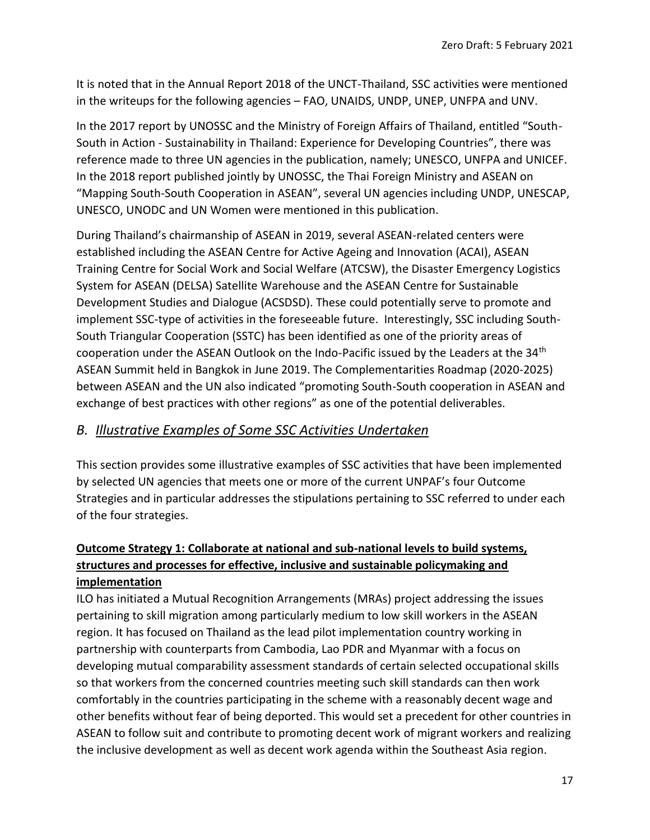It is noted that in the Annual Report 2018 of the UNCT-Thailand, SSC activities were mentioned in the writeups for the following agencies – FAO, UNAIDS, UNDP, UNEP, UNFPA and UNV.

In the 2017 report by UNOSSC and the Ministry of Foreign Affairs of Thailand, entitled "South-South in Action - Sustainability in Thailand: Experience for Developing Countries", there was reference made to three UN agencies in the publication, namely; UNESCO, UNFPA and UNICEF. In the 2018 report published jointly by UNOSSC, the Thai Foreign Ministry and ASEAN on "Mapping South-South Cooperation in ASEAN", several UN agencies including UNDP, UNESCAP, UNESCO, UNODC and UN Women were mentioned in this publication.

During Thailand's chairmanship of ASEAN in 2019, several ASEAN-related centers were established including the ASEAN Centre for Active Ageing and Innovation (ACAI), ASEAN Training Centre for Social Work and Social Welfare (ATCSW), the Disaster Emergency Logistics System for ASEAN (DELSA) Satellite Warehouse and the ASEAN Centre for Sustainable Development Studies and Dialogue (ACSDSD). These could potentially serve to promote and implement SSC-type of activities in the foreseeable future. Interestingly, SSC including South-South Triangular Cooperation (SSTC) has been identified as one of the priority areas of cooperation under the ASEAN Outlook on the Indo-Pacific issued by the Leaders at the 34<sup>th</sup> ASEAN Summit held in Bangkok in June 2019. The Complementarities Roadmap (2020-2025) between ASEAN and the UN also indicated "promoting South-South cooperation in ASEAN and exchange of best practices with other regions" as one of the potential deliverables.

## *B. Illustrative Examples of Some SSC Activities Undertaken*

This section provides some illustrative examples of SSC activities that have been implemented by selected UN agencies that meets one or more of the current UNPAF's four Outcome Strategies and in particular addresses the stipulations pertaining to SSC referred to under each of the four strategies.

## **Outcome Strategy 1: Collaborate at national and sub-national levels to build systems, structures and processes for effective, inclusive and sustainable policymaking and implementation**

ILO has initiated a Mutual Recognition Arrangements (MRAs) project addressing the issues pertaining to skill migration among particularly medium to low skill workers in the ASEAN region. It has focused on Thailand as the lead pilot implementation country working in partnership with counterparts from Cambodia, Lao PDR and Myanmar with a focus on developing mutual comparability assessment standards of certain selected occupational skills so that workers from the concerned countries meeting such skill standards can then work comfortably in the countries participating in the scheme with a reasonably decent wage and other benefits without fear of being deported. This would set a precedent for other countries in ASEAN to follow suit and contribute to promoting decent work of migrant workers and realizing the inclusive development as well as decent work agenda within the Southeast Asia region.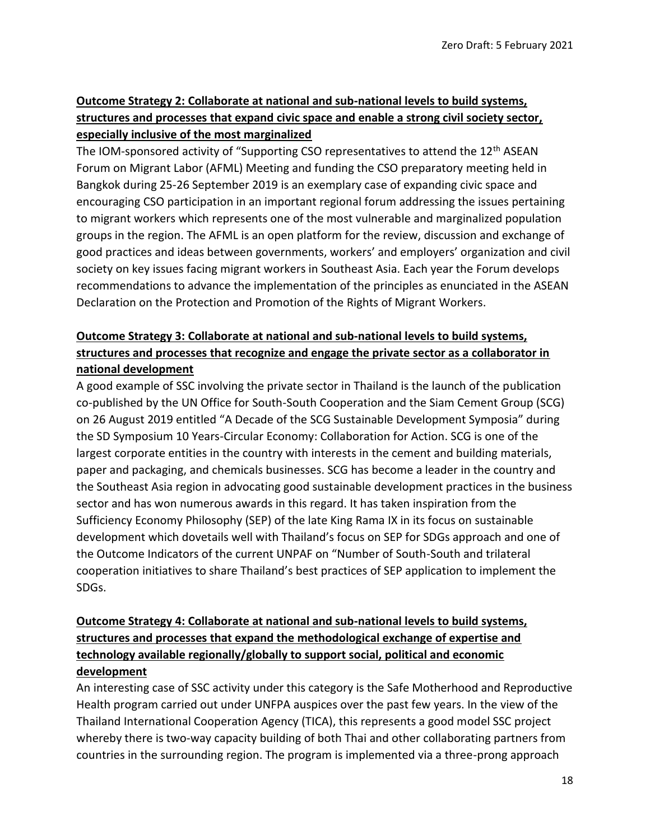## **Outcome Strategy 2: Collaborate at national and sub-national levels to build systems, structures and processes that expand civic space and enable a strong civil society sector, especially inclusive of the most marginalized**

The IOM-sponsored activity of "Supporting CSO representatives to attend the 12<sup>th</sup> ASEAN Forum on Migrant Labor (AFML) Meeting and funding the CSO preparatory meeting held in Bangkok during 25-26 September 2019 is an exemplary case of expanding civic space and encouraging CSO participation in an important regional forum addressing the issues pertaining to migrant workers which represents one of the most vulnerable and marginalized population groups in the region. The AFML is an open platform for the review, discussion and exchange of good practices and ideas between governments, workers' and employers' organization and civil society on key issues facing migrant workers in Southeast Asia. Each year the Forum develops recommendations to advance the implementation of the principles as enunciated in the ASEAN Declaration on the Protection and Promotion of the Rights of Migrant Workers.

## **Outcome Strategy 3: Collaborate at national and sub-national levels to build systems, structures and processes that recognize and engage the private sector as a collaborator in national development**

A good example of SSC involving the private sector in Thailand is the launch of the publication co-published by the UN Office for South-South Cooperation and the Siam Cement Group (SCG) on 26 August 2019 entitled "A Decade of the SCG Sustainable Development Symposia" during the SD Symposium 10 Years-Circular Economy: Collaboration for Action. SCG is one of the largest corporate entities in the country with interests in the cement and building materials, paper and packaging, and chemicals businesses. SCG has become a leader in the country and the Southeast Asia region in advocating good sustainable development practices in the business sector and has won numerous awards in this regard. It has taken inspiration from the Sufficiency Economy Philosophy (SEP) of the late King Rama IX in its focus on sustainable development which dovetails well with Thailand's focus on SEP for SDGs approach and one of the Outcome Indicators of the current UNPAF on "Number of South-South and trilateral cooperation initiatives to share Thailand's best practices of SEP application to implement the SDGs.

## **Outcome Strategy 4: Collaborate at national and sub-national levels to build systems, structures and processes that expand the methodological exchange of expertise and technology available regionally/globally to support social, political and economic development**

An interesting case of SSC activity under this category is the Safe Motherhood and Reproductive Health program carried out under UNFPA auspices over the past few years. In the view of the Thailand International Cooperation Agency (TICA), this represents a good model SSC project whereby there is two-way capacity building of both Thai and other collaborating partners from countries in the surrounding region. The program is implemented via a three-prong approach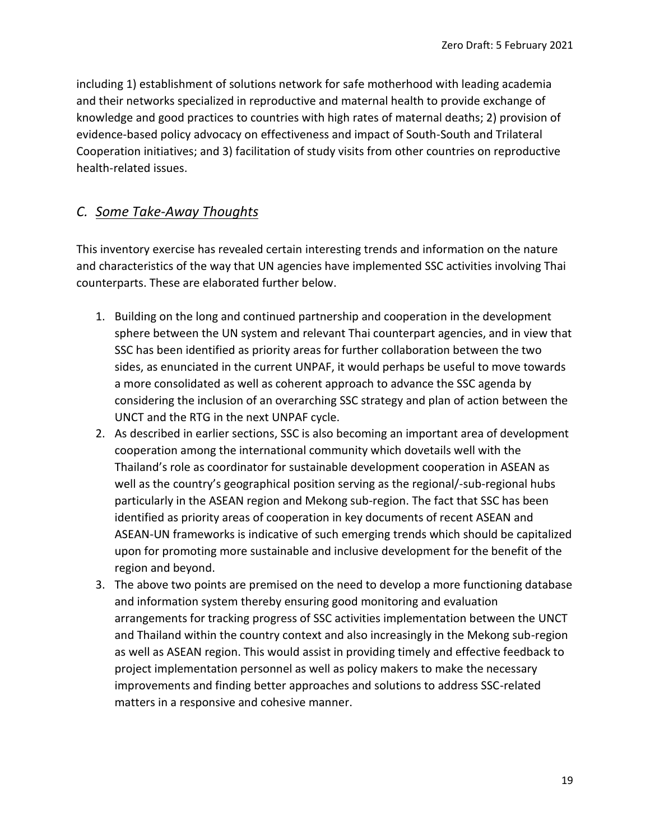including 1) establishment of solutions network for safe motherhood with leading academia and their networks specialized in reproductive and maternal health to provide exchange of knowledge and good practices to countries with high rates of maternal deaths; 2) provision of evidence-based policy advocacy on effectiveness and impact of South-South and Trilateral Cooperation initiatives; and 3) facilitation of study visits from other countries on reproductive health-related issues.

## *C. Some Take-Away Thoughts*

This inventory exercise has revealed certain interesting trends and information on the nature and characteristics of the way that UN agencies have implemented SSC activities involving Thai counterparts. These are elaborated further below.

- 1. Building on the long and continued partnership and cooperation in the development sphere between the UN system and relevant Thai counterpart agencies, and in view that SSC has been identified as priority areas for further collaboration between the two sides, as enunciated in the current UNPAF, it would perhaps be useful to move towards a more consolidated as well as coherent approach to advance the SSC agenda by considering the inclusion of an overarching SSC strategy and plan of action between the UNCT and the RTG in the next UNPAF cycle.
- 2. As described in earlier sections, SSC is also becoming an important area of development cooperation among the international community which dovetails well with the Thailand's role as coordinator for sustainable development cooperation in ASEAN as well as the country's geographical position serving as the regional/-sub-regional hubs particularly in the ASEAN region and Mekong sub-region. The fact that SSC has been identified as priority areas of cooperation in key documents of recent ASEAN and ASEAN-UN frameworks is indicative of such emerging trends which should be capitalized upon for promoting more sustainable and inclusive development for the benefit of the region and beyond.
- 3. The above two points are premised on the need to develop a more functioning database and information system thereby ensuring good monitoring and evaluation arrangements for tracking progress of SSC activities implementation between the UNCT and Thailand within the country context and also increasingly in the Mekong sub-region as well as ASEAN region. This would assist in providing timely and effective feedback to project implementation personnel as well as policy makers to make the necessary improvements and finding better approaches and solutions to address SSC-related matters in a responsive and cohesive manner.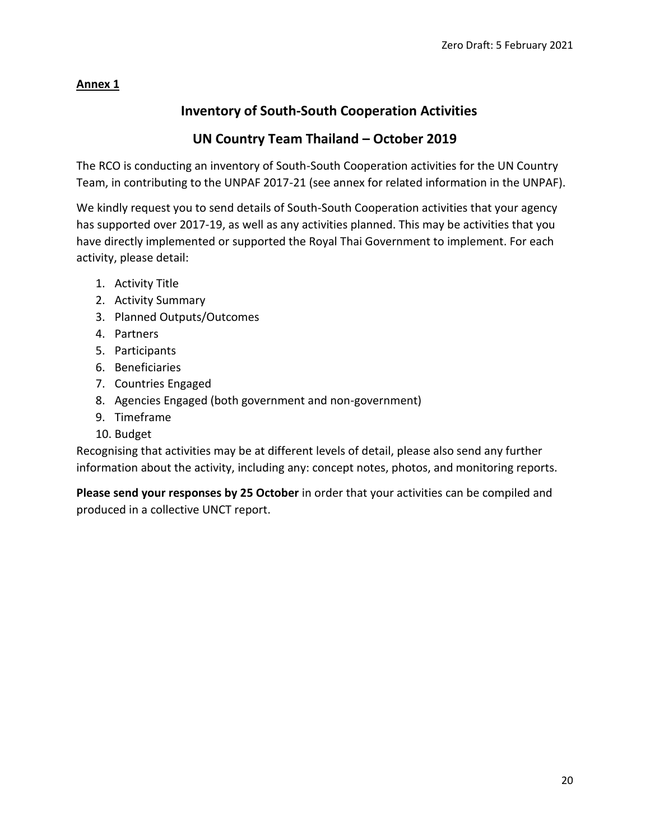## **Annex 1**

## **Inventory of South-South Cooperation Activities**

## **UN Country Team Thailand – October 2019**

The RCO is conducting an inventory of South-South Cooperation activities for the UN Country Team, in contributing to the UNPAF 2017-21 (see annex for related information in the UNPAF).

We kindly request you to send details of South-South Cooperation activities that your agency has supported over 2017-19, as well as any activities planned. This may be activities that you have directly implemented or supported the Royal Thai Government to implement. For each activity, please detail:

- 1. Activity Title
- 2. Activity Summary
- 3. Planned Outputs/Outcomes
- 4. Partners
- 5. Participants
- 6. Beneficiaries
- 7. Countries Engaged
- 8. Agencies Engaged (both government and non-government)
- 9. Timeframe
- 10. Budget

Recognising that activities may be at different levels of detail, please also send any further information about the activity, including any: concept notes, photos, and monitoring reports.

**Please send your responses by 25 October** in order that your activities can be compiled and produced in a collective UNCT report.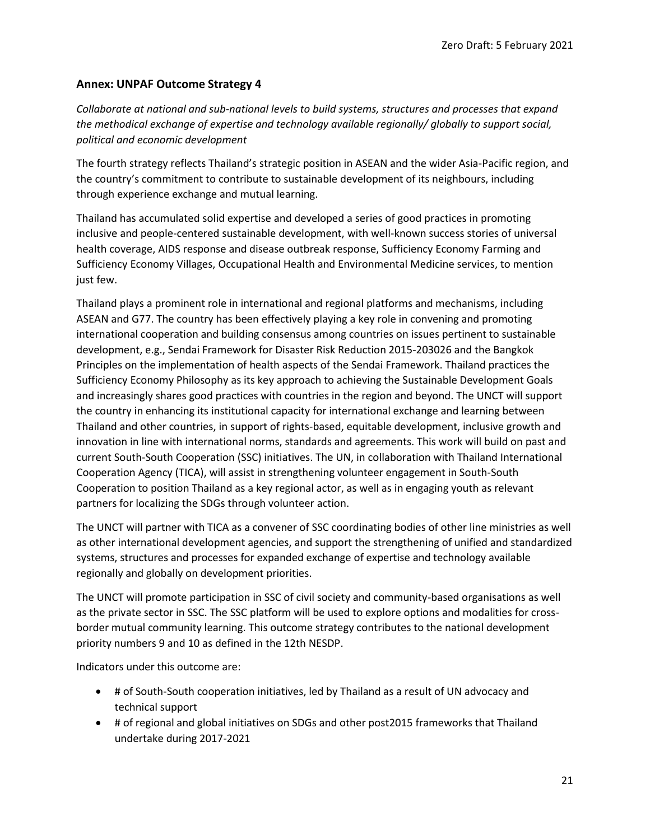### **Annex: UNPAF Outcome Strategy 4**

*Collaborate at national and sub-national levels to build systems, structures and processes that expand the methodical exchange of expertise and technology available regionally/ globally to support social, political and economic development*

The fourth strategy reflects Thailand's strategic position in ASEAN and the wider Asia-Pacific region, and the country's commitment to contribute to sustainable development of its neighbours, including through experience exchange and mutual learning.

Thailand has accumulated solid expertise and developed a series of good practices in promoting inclusive and people-centered sustainable development, with well-known success stories of universal health coverage, AIDS response and disease outbreak response, Sufficiency Economy Farming and Sufficiency Economy Villages, Occupational Health and Environmental Medicine services, to mention just few.

Thailand plays a prominent role in international and regional platforms and mechanisms, including ASEAN and G77. The country has been effectively playing a key role in convening and promoting international cooperation and building consensus among countries on issues pertinent to sustainable development, e.g., Sendai Framework for Disaster Risk Reduction 2015-203026 and the Bangkok Principles on the implementation of health aspects of the Sendai Framework. Thailand practices the Sufficiency Economy Philosophy as its key approach to achieving the Sustainable Development Goals and increasingly shares good practices with countries in the region and beyond. The UNCT will support the country in enhancing its institutional capacity for international exchange and learning between Thailand and other countries, in support of rights-based, equitable development, inclusive growth and innovation in line with international norms, standards and agreements. This work will build on past and current South-South Cooperation (SSC) initiatives. The UN, in collaboration with Thailand International Cooperation Agency (TICA), will assist in strengthening volunteer engagement in South-South Cooperation to position Thailand as a key regional actor, as well as in engaging youth as relevant partners for localizing the SDGs through volunteer action.

The UNCT will partner with TICA as a convener of SSC coordinating bodies of other line ministries as well as other international development agencies, and support the strengthening of unified and standardized systems, structures and processes for expanded exchange of expertise and technology available regionally and globally on development priorities.

The UNCT will promote participation in SSC of civil society and community-based organisations as well as the private sector in SSC. The SSC platform will be used to explore options and modalities for crossborder mutual community learning. This outcome strategy contributes to the national development priority numbers 9 and 10 as defined in the 12th NESDP.

Indicators under this outcome are:

- # of South-South cooperation initiatives, led by Thailand as a result of UN advocacy and technical support
- # of regional and global initiatives on SDGs and other post2015 frameworks that Thailand undertake during 2017-2021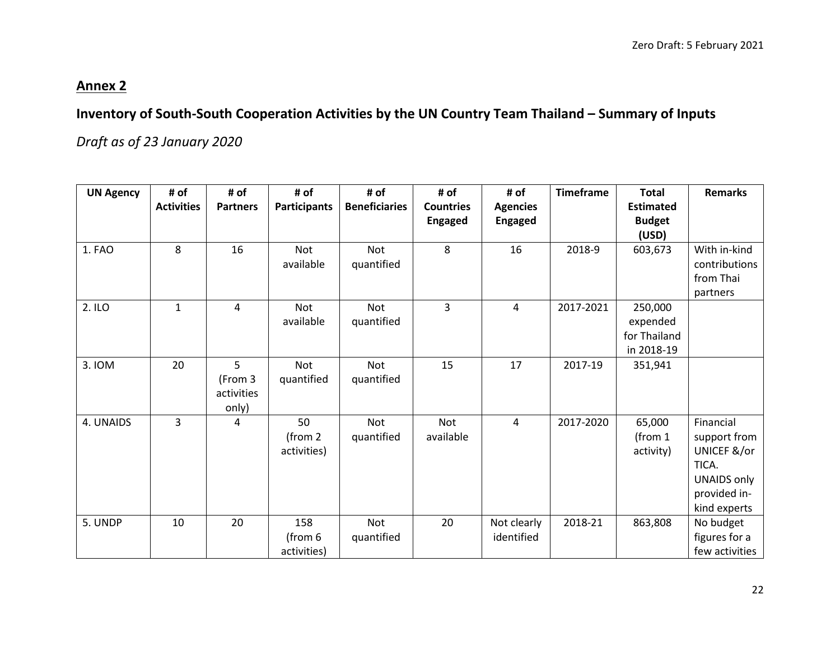# **Annex 2**

# **Inventory of South-South Cooperation Activities by the UN Country Team Thailand – Summary of Inputs**

*Draft as of 23 January 2020*

| <b>UN Agency</b> | # of<br><b>Activities</b> | # of<br><b>Partners</b>             | # of<br><b>Participants</b>               | # of<br><b>Beneficiaries</b> | # of<br><b>Countries</b> | # of<br><b>Agencies</b>   | <b>Timeframe</b> | <b>Total</b><br><b>Estimated</b>                  | <b>Remarks</b>                                                                                          |
|------------------|---------------------------|-------------------------------------|-------------------------------------------|------------------------------|--------------------------|---------------------------|------------------|---------------------------------------------------|---------------------------------------------------------------------------------------------------------|
|                  |                           |                                     |                                           |                              | <b>Engaged</b>           | <b>Engaged</b>            |                  | <b>Budget</b>                                     |                                                                                                         |
|                  |                           |                                     |                                           |                              |                          |                           |                  | (USD)                                             |                                                                                                         |
| 1. FAO           | 8                         | 16                                  | <b>Not</b><br>available                   | <b>Not</b><br>quantified     | 8                        | 16                        | 2018-9           | 603,673                                           | With in-kind<br>contributions<br>from Thai<br>partners                                                  |
| 2. ILO           | $\mathbf{1}$              | 4                                   | <b>Not</b><br>available                   | <b>Not</b><br>quantified     | 3                        | 4                         | 2017-2021        | 250,000<br>expended<br>for Thailand<br>in 2018-19 |                                                                                                         |
| 3. IOM           | 20                        | 5<br>(From 3<br>activities<br>only) | <b>Not</b><br>quantified                  | <b>Not</b><br>quantified     | 15                       | 17                        | 2017-19          | 351,941                                           |                                                                                                         |
| 4. UNAIDS        | 3                         | 4                                   | 50<br>(from <sub>2</sub> )<br>activities) | Not<br>quantified            | <b>Not</b><br>available  | 4                         | 2017-2020        | 65,000<br>(from $1$<br>activity)                  | Financial<br>support from<br>UNICEF &/or<br>TICA.<br><b>UNAIDS only</b><br>provided in-<br>kind experts |
| 5. UNDP          | 10                        | 20                                  | 158<br>(from 6<br>activities)             | Not<br>quantified            | 20                       | Not clearly<br>identified | 2018-21          | 863,808                                           | No budget<br>figures for a<br>few activities                                                            |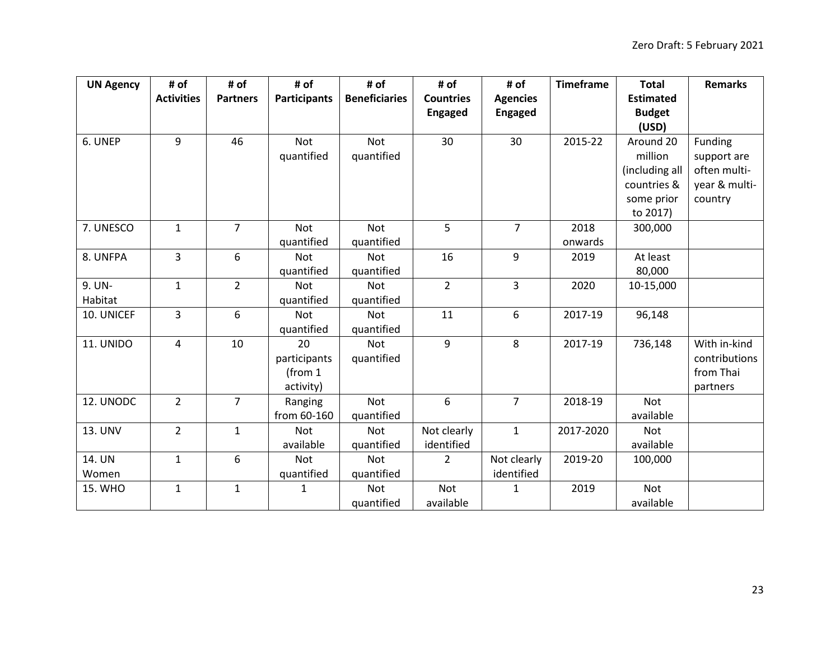| <b>UN Agency</b> | # of              | # of            | # of                | # of                 | # of             | # of            | <b>Timeframe</b> | <b>Total</b>     | <b>Remarks</b> |
|------------------|-------------------|-----------------|---------------------|----------------------|------------------|-----------------|------------------|------------------|----------------|
|                  | <b>Activities</b> | <b>Partners</b> | <b>Participants</b> | <b>Beneficiaries</b> | <b>Countries</b> | <b>Agencies</b> |                  | <b>Estimated</b> |                |
|                  |                   |                 |                     |                      | <b>Engaged</b>   | <b>Engaged</b>  |                  | <b>Budget</b>    |                |
|                  |                   |                 |                     |                      |                  |                 |                  | (USD)            |                |
| 6. UNEP          | 9                 | 46              | Not                 | <b>Not</b>           | 30               | 30              | 2015-22          | Around 20        | Funding        |
|                  |                   |                 | quantified          | quantified           |                  |                 |                  | million          | support are    |
|                  |                   |                 |                     |                      |                  |                 |                  | (including all   | often multi-   |
|                  |                   |                 |                     |                      |                  |                 |                  | countries &      | year & multi-  |
|                  |                   |                 |                     |                      |                  |                 |                  | some prior       | country        |
|                  |                   |                 |                     |                      |                  |                 |                  | to 2017)         |                |
| 7. UNESCO        | $\mathbf{1}$      | $\overline{7}$  | <b>Not</b>          | <b>Not</b>           | 5                | $\overline{7}$  | 2018             | 300,000          |                |
|                  |                   |                 | quantified          | quantified           |                  |                 | onwards          |                  |                |
| 8. UNFPA         | 3                 | 6               | <b>Not</b>          | <b>Not</b>           | 16               | 9               | 2019             | At least         |                |
|                  |                   |                 | quantified          | quantified           |                  |                 |                  | 80,000           |                |
| 9. UN-           | $\mathbf{1}$      | $\overline{2}$  | <b>Not</b>          | <b>Not</b>           | $\overline{2}$   | 3               | 2020             | 10-15,000        |                |
| Habitat          |                   |                 | quantified          | quantified           |                  |                 |                  |                  |                |
| 10. UNICEF       | 3                 | 6               | <b>Not</b>          | Not                  | 11               | 6               | 2017-19          | 96,148           |                |
|                  |                   |                 | quantified          | quantified           |                  |                 |                  |                  |                |
| 11. UNIDO        | 4                 | 10              | 20                  | <b>Not</b>           | 9                | 8               | 2017-19          | 736,148          | With in-kind   |
|                  |                   |                 | participants        | quantified           |                  |                 |                  |                  | contributions  |
|                  |                   |                 | (from 1             |                      |                  |                 |                  |                  | from Thai      |
|                  |                   |                 | activity)           |                      |                  |                 |                  |                  | partners       |
| 12. UNODC        | $\overline{2}$    | $\overline{7}$  | Ranging             | <b>Not</b>           | 6                | $\overline{7}$  | 2018-19          | <b>Not</b>       |                |
|                  |                   |                 | from 60-160         | quantified           |                  |                 |                  | available        |                |
| 13. UNV          | $\overline{2}$    | $\mathbf{1}$    | <b>Not</b>          | <b>Not</b>           | Not clearly      | $\mathbf{1}$    | 2017-2020        | <b>Not</b>       |                |
|                  |                   |                 | available           | quantified           | identified       |                 |                  | available        |                |
| 14. UN           | $\mathbf{1}$      | 6               | Not                 | Not                  | $\overline{2}$   | Not clearly     | 2019-20          | 100,000          |                |
| Women            |                   |                 | quantified          | quantified           |                  | identified      |                  |                  |                |
| 15. WHO          | $\mathbf{1}$      | $\mathbf{1}$    | $\mathbf{1}$        | <b>Not</b>           | Not              | $\mathbf{1}$    | 2019             | <b>Not</b>       |                |
|                  |                   |                 |                     | quantified           | available        |                 |                  | available        |                |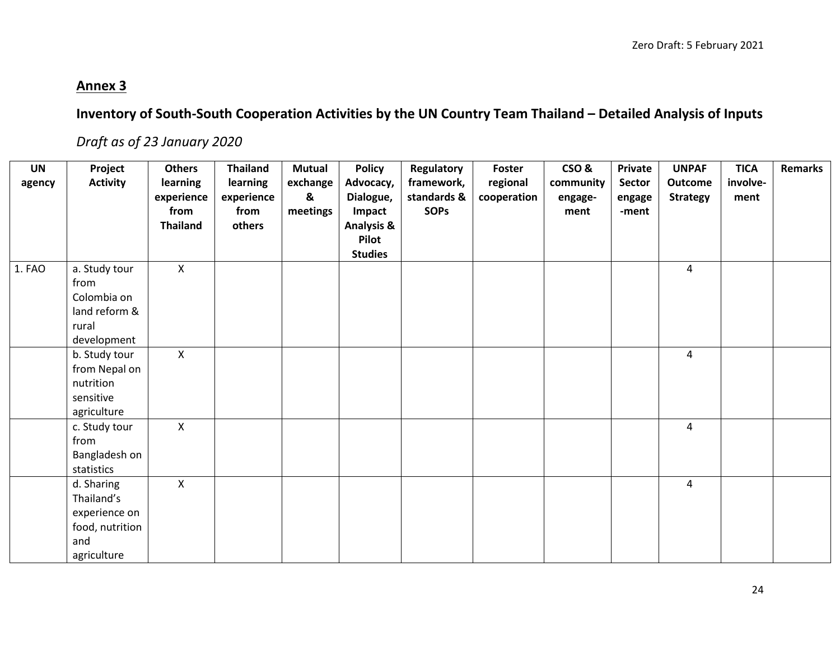## **Annex 3**

# **Inventory of South-South Cooperation Activities by the UN Country Team Thailand – Detailed Analysis of Inputs**

# *Draft as of 23 January 2020*

| <b>UN</b> | Project         | <b>Others</b>   | <b>Thailand</b> | <b>Mutual</b> | <b>Policy</b>         | Regulatory  | Foster      | CSO&      | Private | <b>UNPAF</b>    | <b>TICA</b> | Remarks |
|-----------|-----------------|-----------------|-----------------|---------------|-----------------------|-------------|-------------|-----------|---------|-----------------|-------------|---------|
| agency    | <b>Activity</b> | learning        | learning        | exchange      | Advocacy,             | framework,  | regional    | community | Sector  | <b>Outcome</b>  | involve-    |         |
|           |                 | experience      | experience      | &             | Dialogue,             | standards & | cooperation | engage-   | engage  | <b>Strategy</b> | ment        |         |
|           |                 | from            | from            | meetings      | Impact                | <b>SOPs</b> |             | ment      | -ment   |                 |             |         |
|           |                 | <b>Thailand</b> | others          |               | <b>Analysis &amp;</b> |             |             |           |         |                 |             |         |
|           |                 |                 |                 |               | Pilot                 |             |             |           |         |                 |             |         |
|           |                 |                 |                 |               | <b>Studies</b>        |             |             |           |         |                 |             |         |
| 1. FAO    | a. Study tour   | $\mathsf{X}$    |                 |               |                       |             |             |           |         | $\overline{4}$  |             |         |
|           | from            |                 |                 |               |                       |             |             |           |         |                 |             |         |
|           | Colombia on     |                 |                 |               |                       |             |             |           |         |                 |             |         |
|           | land reform &   |                 |                 |               |                       |             |             |           |         |                 |             |         |
|           | rural           |                 |                 |               |                       |             |             |           |         |                 |             |         |
|           | development     |                 |                 |               |                       |             |             |           |         |                 |             |         |
|           | b. Study tour   | $\mathsf{X}$    |                 |               |                       |             |             |           |         | 4               |             |         |
|           | from Nepal on   |                 |                 |               |                       |             |             |           |         |                 |             |         |
|           | nutrition       |                 |                 |               |                       |             |             |           |         |                 |             |         |
|           | sensitive       |                 |                 |               |                       |             |             |           |         |                 |             |         |
|           | agriculture     |                 |                 |               |                       |             |             |           |         |                 |             |         |
|           | c. Study tour   | $\mathsf{X}$    |                 |               |                       |             |             |           |         | $\overline{4}$  |             |         |
|           | from            |                 |                 |               |                       |             |             |           |         |                 |             |         |
|           | Bangladesh on   |                 |                 |               |                       |             |             |           |         |                 |             |         |
|           | statistics      |                 |                 |               |                       |             |             |           |         |                 |             |         |
|           | d. Sharing      | $\mathsf{X}$    |                 |               |                       |             |             |           |         | 4               |             |         |
|           | Thailand's      |                 |                 |               |                       |             |             |           |         |                 |             |         |
|           | experience on   |                 |                 |               |                       |             |             |           |         |                 |             |         |
|           | food, nutrition |                 |                 |               |                       |             |             |           |         |                 |             |         |
|           | and             |                 |                 |               |                       |             |             |           |         |                 |             |         |
|           | agriculture     |                 |                 |               |                       |             |             |           |         |                 |             |         |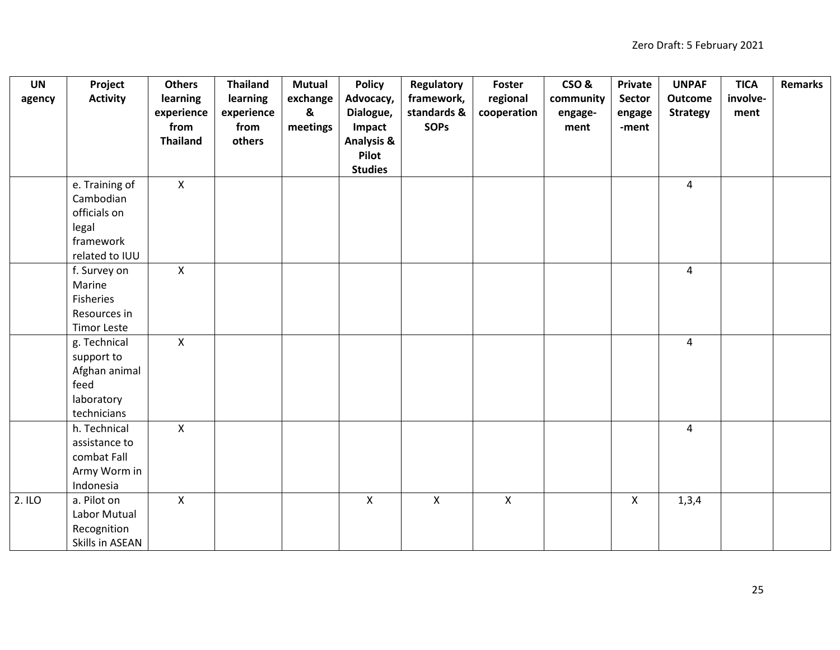| <b>UN</b> | Project            | <b>Others</b>   | <b>Thailand</b> | <b>Mutual</b>             | <b>Policy</b>         | Regulatory     | <b>Foster</b> | CSO&      | Private      | <b>UNPAF</b>    | <b>TICA</b> | <b>Remarks</b> |
|-----------|--------------------|-----------------|-----------------|---------------------------|-----------------------|----------------|---------------|-----------|--------------|-----------------|-------------|----------------|
| agency    | <b>Activity</b>    | learning        | learning        | exchange                  | Advocacy,             | framework,     | regional      | community | Sector       | <b>Outcome</b>  | involve-    |                |
|           |                    | experience      | experience      | $\boldsymbol{\mathsf{g}}$ | Dialogue,             | standards &    | cooperation   | engage-   | engage       | <b>Strategy</b> | ment        |                |
|           |                    | from            | from            | meetings                  | Impact                | <b>SOPs</b>    |               | ment      | -ment        |                 |             |                |
|           |                    | <b>Thailand</b> | others          |                           | <b>Analysis &amp;</b> |                |               |           |              |                 |             |                |
|           |                    |                 |                 |                           | Pilot                 |                |               |           |              |                 |             |                |
|           |                    |                 |                 |                           | <b>Studies</b>        |                |               |           |              |                 |             |                |
|           | e. Training of     | $\mathsf{X}$    |                 |                           |                       |                |               |           |              | $\overline{4}$  |             |                |
|           | Cambodian          |                 |                 |                           |                       |                |               |           |              |                 |             |                |
|           | officials on       |                 |                 |                           |                       |                |               |           |              |                 |             |                |
|           | legal              |                 |                 |                           |                       |                |               |           |              |                 |             |                |
|           | framework          |                 |                 |                           |                       |                |               |           |              |                 |             |                |
|           | related to IUU     |                 |                 |                           |                       |                |               |           |              |                 |             |                |
|           | f. Survey on       | $\mathsf{X}$    |                 |                           |                       |                |               |           |              | $\overline{4}$  |             |                |
|           | Marine             |                 |                 |                           |                       |                |               |           |              |                 |             |                |
|           | Fisheries          |                 |                 |                           |                       |                |               |           |              |                 |             |                |
|           | Resources in       |                 |                 |                           |                       |                |               |           |              |                 |             |                |
|           | <b>Timor Leste</b> |                 |                 |                           |                       |                |               |           |              |                 |             |                |
|           | g. Technical       | $\mathsf{X}$    |                 |                           |                       |                |               |           |              | $\overline{4}$  |             |                |
|           | support to         |                 |                 |                           |                       |                |               |           |              |                 |             |                |
|           | Afghan animal      |                 |                 |                           |                       |                |               |           |              |                 |             |                |
|           | feed               |                 |                 |                           |                       |                |               |           |              |                 |             |                |
|           | laboratory         |                 |                 |                           |                       |                |               |           |              |                 |             |                |
|           | technicians        |                 |                 |                           |                       |                |               |           |              |                 |             |                |
|           | h. Technical       | $\mathsf{X}$    |                 |                           |                       |                |               |           |              | $\overline{4}$  |             |                |
|           | assistance to      |                 |                 |                           |                       |                |               |           |              |                 |             |                |
|           | combat Fall        |                 |                 |                           |                       |                |               |           |              |                 |             |                |
|           | Army Worm in       |                 |                 |                           |                       |                |               |           |              |                 |             |                |
|           | Indonesia          |                 |                 |                           |                       |                |               |           |              |                 |             |                |
| 2. ILO    | a. Pilot on        | $\mathsf{X}$    |                 |                           | $\mathsf{X}$          | $\pmb{\times}$ | $\mathsf{X}$  |           | $\mathsf{X}$ | 1,3,4           |             |                |
|           | Labor Mutual       |                 |                 |                           |                       |                |               |           |              |                 |             |                |
|           | Recognition        |                 |                 |                           |                       |                |               |           |              |                 |             |                |
|           | Skills in ASEAN    |                 |                 |                           |                       |                |               |           |              |                 |             |                |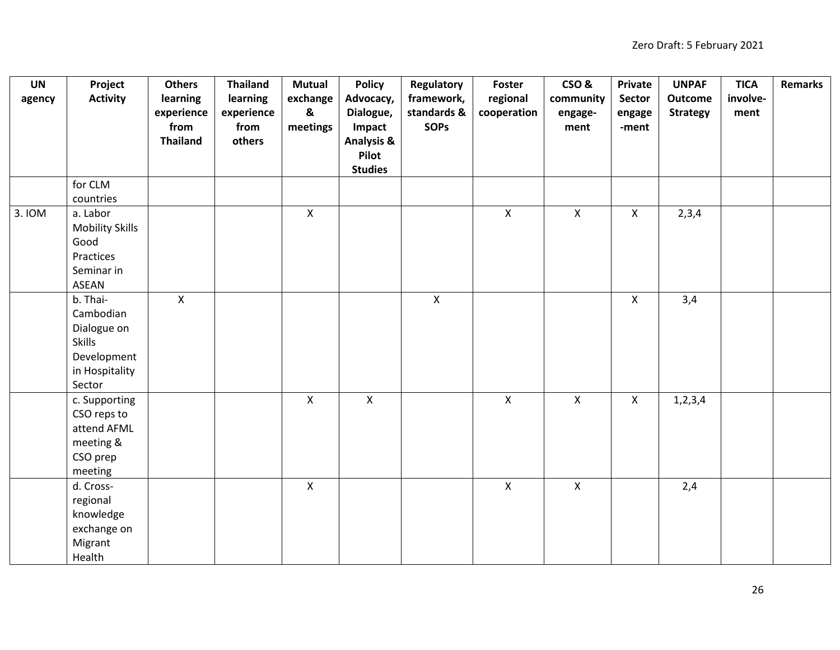| <b>UN</b> | Project                | <b>Others</b>   | <b>Thailand</b> | <b>Mutual</b>    | <b>Policy</b>         | <b>Regulatory</b>         | Foster         | CSO&               | <b>Private</b>            | <b>UNPAF</b>    | <b>TICA</b> | <b>Remarks</b> |
|-----------|------------------------|-----------------|-----------------|------------------|-----------------------|---------------------------|----------------|--------------------|---------------------------|-----------------|-------------|----------------|
| agency    | <b>Activity</b>        | learning        | learning        | exchange         | Advocacy,             | framework,                | regional       | community          | Sector                    | <b>Outcome</b>  | involve-    |                |
|           |                        | experience      | experience      | $\boldsymbol{8}$ | Dialogue,             | standards &               | cooperation    | engage-            | engage                    | <b>Strategy</b> | ment        |                |
|           |                        | from            | from            | meetings         | Impact                | <b>SOPs</b>               |                | ment               | -ment                     |                 |             |                |
|           |                        | <b>Thailand</b> | others          |                  | <b>Analysis &amp;</b> |                           |                |                    |                           |                 |             |                |
|           |                        |                 |                 |                  | Pilot                 |                           |                |                    |                           |                 |             |                |
|           |                        |                 |                 |                  | <b>Studies</b>        |                           |                |                    |                           |                 |             |                |
|           | for CLM                |                 |                 |                  |                       |                           |                |                    |                           |                 |             |                |
|           | countries              |                 |                 |                  |                       |                           |                |                    |                           |                 |             |                |
| 3. IOM    | a. Labor               |                 |                 | $\mathsf{X}$     |                       |                           | $\overline{X}$ | $\mathsf{X}$       | $\mathsf{X}$              | 2,3,4           |             |                |
|           | <b>Mobility Skills</b> |                 |                 |                  |                       |                           |                |                    |                           |                 |             |                |
|           | Good                   |                 |                 |                  |                       |                           |                |                    |                           |                 |             |                |
|           | Practices              |                 |                 |                  |                       |                           |                |                    |                           |                 |             |                |
|           | Seminar in             |                 |                 |                  |                       |                           |                |                    |                           |                 |             |                |
|           | ASEAN                  |                 |                 |                  |                       |                           |                |                    |                           |                 |             |                |
|           | b. Thai-               | $\mathsf{X}$    |                 |                  |                       | $\boldsymbol{\mathsf{X}}$ |                |                    | $\mathsf{X}$              | 3,4             |             |                |
|           | Cambodian              |                 |                 |                  |                       |                           |                |                    |                           |                 |             |                |
|           | Dialogue on            |                 |                 |                  |                       |                           |                |                    |                           |                 |             |                |
|           | Skills                 |                 |                 |                  |                       |                           |                |                    |                           |                 |             |                |
|           | Development            |                 |                 |                  |                       |                           |                |                    |                           |                 |             |                |
|           | in Hospitality         |                 |                 |                  |                       |                           |                |                    |                           |                 |             |                |
|           | Sector                 |                 |                 |                  |                       |                           |                |                    |                           |                 |             |                |
|           | c. Supporting          |                 |                 | $\mathsf{X}$     | $\mathsf{X}$          |                           | $\overline{X}$ | $\pmb{\mathsf{X}}$ | $\boldsymbol{\mathsf{X}}$ | 1, 2, 3, 4      |             |                |
|           | CSO reps to            |                 |                 |                  |                       |                           |                |                    |                           |                 |             |                |
|           | attend AFML            |                 |                 |                  |                       |                           |                |                    |                           |                 |             |                |
|           | meeting &              |                 |                 |                  |                       |                           |                |                    |                           |                 |             |                |
|           | CSO prep               |                 |                 |                  |                       |                           |                |                    |                           |                 |             |                |
|           | meeting                |                 |                 |                  |                       |                           |                |                    |                           |                 |             |                |
|           | d. Cross-              |                 |                 | $\mathsf{X}$     |                       |                           | $\mathsf{X}$   | $\mathsf{X}$       |                           | 2,4             |             |                |
|           | regional               |                 |                 |                  |                       |                           |                |                    |                           |                 |             |                |
|           | knowledge              |                 |                 |                  |                       |                           |                |                    |                           |                 |             |                |
|           | exchange on            |                 |                 |                  |                       |                           |                |                    |                           |                 |             |                |
|           | Migrant                |                 |                 |                  |                       |                           |                |                    |                           |                 |             |                |
|           | Health                 |                 |                 |                  |                       |                           |                |                    |                           |                 |             |                |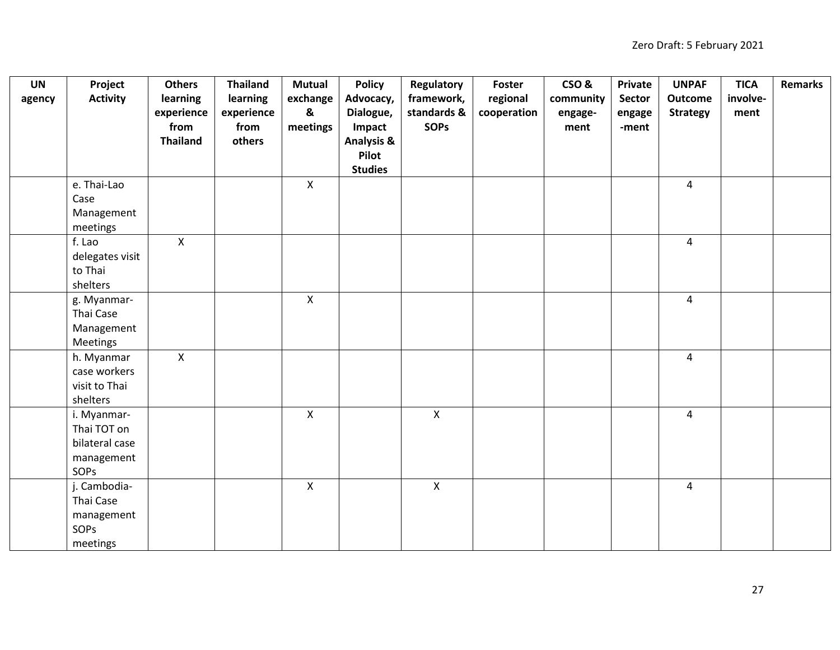| <b>UN</b> | Project         | <b>Others</b>   | <b>Thailand</b> | <b>Mutual</b>             | <b>Policy</b>         | <b>Regulatory</b>         | <b>Foster</b> | CSO&      | Private | <b>UNPAF</b>    | <b>TICA</b> | <b>Remarks</b> |
|-----------|-----------------|-----------------|-----------------|---------------------------|-----------------------|---------------------------|---------------|-----------|---------|-----------------|-------------|----------------|
| agency    | <b>Activity</b> | learning        | learning        | exchange                  | Advocacy,             | framework,                | regional      | community | Sector  | <b>Outcome</b>  | involve-    |                |
|           |                 | experience      | experience      | $\boldsymbol{\mathsf{g}}$ | Dialogue,             | standards &               | cooperation   | engage-   | engage  | <b>Strategy</b> | ment        |                |
|           |                 | from            | from            | meetings                  | Impact                | <b>SOPs</b>               |               | ment      | -ment   |                 |             |                |
|           |                 | <b>Thailand</b> | others          |                           | <b>Analysis &amp;</b> |                           |               |           |         |                 |             |                |
|           |                 |                 |                 |                           | Pilot                 |                           |               |           |         |                 |             |                |
|           |                 |                 |                 |                           | <b>Studies</b>        |                           |               |           |         |                 |             |                |
|           | e. Thai-Lao     |                 |                 | $\mathsf{X}$              |                       |                           |               |           |         | $\overline{4}$  |             |                |
|           | Case            |                 |                 |                           |                       |                           |               |           |         |                 |             |                |
|           | Management      |                 |                 |                           |                       |                           |               |           |         |                 |             |                |
|           | meetings        |                 |                 |                           |                       |                           |               |           |         |                 |             |                |
|           | f. Lao          | X               |                 |                           |                       |                           |               |           |         | $\overline{4}$  |             |                |
|           | delegates visit |                 |                 |                           |                       |                           |               |           |         |                 |             |                |
|           | to Thai         |                 |                 |                           |                       |                           |               |           |         |                 |             |                |
|           | shelters        |                 |                 |                           |                       |                           |               |           |         |                 |             |                |
|           | g. Myanmar-     |                 |                 | $\pmb{\mathsf{X}}$        |                       |                           |               |           |         | 4               |             |                |
|           | Thai Case       |                 |                 |                           |                       |                           |               |           |         |                 |             |                |
|           | Management      |                 |                 |                           |                       |                           |               |           |         |                 |             |                |
|           | Meetings        |                 |                 |                           |                       |                           |               |           |         |                 |             |                |
|           | h. Myanmar      | $\mathsf{X}$    |                 |                           |                       |                           |               |           |         | $\overline{4}$  |             |                |
|           | case workers    |                 |                 |                           |                       |                           |               |           |         |                 |             |                |
|           | visit to Thai   |                 |                 |                           |                       |                           |               |           |         |                 |             |                |
|           | shelters        |                 |                 |                           |                       |                           |               |           |         |                 |             |                |
|           | i. Myanmar-     |                 |                 | $\mathsf{X}$              |                       | $\pmb{\times}$            |               |           |         | $\overline{4}$  |             |                |
|           | Thai TOT on     |                 |                 |                           |                       |                           |               |           |         |                 |             |                |
|           | bilateral case  |                 |                 |                           |                       |                           |               |           |         |                 |             |                |
|           | management      |                 |                 |                           |                       |                           |               |           |         |                 |             |                |
|           | SOPS            |                 |                 |                           |                       |                           |               |           |         |                 |             |                |
|           | j. Cambodia-    |                 |                 | $\mathsf{X}$              |                       | $\boldsymbol{\mathsf{X}}$ |               |           |         | $\overline{4}$  |             |                |
|           | Thai Case       |                 |                 |                           |                       |                           |               |           |         |                 |             |                |
|           | management      |                 |                 |                           |                       |                           |               |           |         |                 |             |                |
|           | <b>SOPS</b>     |                 |                 |                           |                       |                           |               |           |         |                 |             |                |
|           | meetings        |                 |                 |                           |                       |                           |               |           |         |                 |             |                |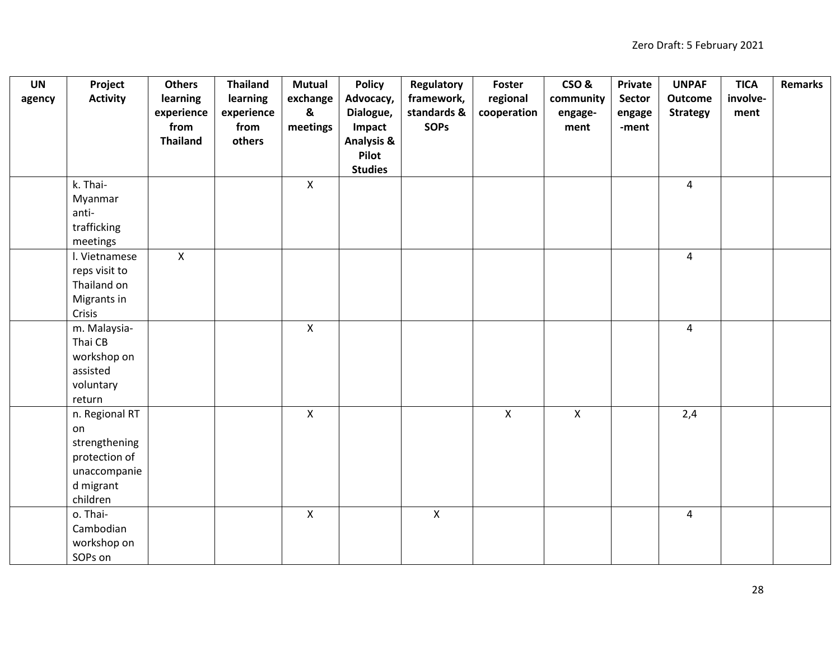| <b>UN</b> | Project         | <b>Others</b>   | <b>Thailand</b> | <b>Mutual</b> | <b>Policy</b>         | Regulatory     | Foster       | CSO&         | Private | <b>UNPAF</b>    | <b>TICA</b> | Remarks |
|-----------|-----------------|-----------------|-----------------|---------------|-----------------------|----------------|--------------|--------------|---------|-----------------|-------------|---------|
| agency    | <b>Activity</b> | learning        | learning        | exchange      | Advocacy,             | framework,     | regional     | community    | Sector  | <b>Outcome</b>  | involve-    |         |
|           |                 | experience      | experience      | &             | Dialogue,             | standards &    | cooperation  | engage-      | engage  | <b>Strategy</b> | ment        |         |
|           |                 | from            | from            | meetings      | Impact                | <b>SOPS</b>    |              | ment         | -ment   |                 |             |         |
|           |                 | <b>Thailand</b> | others          |               | <b>Analysis &amp;</b> |                |              |              |         |                 |             |         |
|           |                 |                 |                 |               | Pilot                 |                |              |              |         |                 |             |         |
|           |                 |                 |                 |               | <b>Studies</b>        |                |              |              |         |                 |             |         |
|           | k. Thai-        |                 |                 | $\mathsf{X}$  |                       |                |              |              |         | $\overline{4}$  |             |         |
|           | Myanmar         |                 |                 |               |                       |                |              |              |         |                 |             |         |
|           | anti-           |                 |                 |               |                       |                |              |              |         |                 |             |         |
|           | trafficking     |                 |                 |               |                       |                |              |              |         |                 |             |         |
|           | meetings        |                 |                 |               |                       |                |              |              |         |                 |             |         |
|           | I. Vietnamese   | $\mathsf{X}$    |                 |               |                       |                |              |              |         | $\overline{4}$  |             |         |
|           | reps visit to   |                 |                 |               |                       |                |              |              |         |                 |             |         |
|           | Thailand on     |                 |                 |               |                       |                |              |              |         |                 |             |         |
|           | Migrants in     |                 |                 |               |                       |                |              |              |         |                 |             |         |
|           | Crisis          |                 |                 |               |                       |                |              |              |         |                 |             |         |
|           | m. Malaysia-    |                 |                 | $\mathsf{X}$  |                       |                |              |              |         | $\overline{4}$  |             |         |
|           | Thai CB         |                 |                 |               |                       |                |              |              |         |                 |             |         |
|           | workshop on     |                 |                 |               |                       |                |              |              |         |                 |             |         |
|           | assisted        |                 |                 |               |                       |                |              |              |         |                 |             |         |
|           | voluntary       |                 |                 |               |                       |                |              |              |         |                 |             |         |
|           | return          |                 |                 |               |                       |                |              |              |         |                 |             |         |
|           | n. Regional RT  |                 |                 | $\mathsf X$   |                       |                | $\mathsf{X}$ | $\mathsf{X}$ |         | 2,4             |             |         |
|           | on              |                 |                 |               |                       |                |              |              |         |                 |             |         |
|           | strengthening   |                 |                 |               |                       |                |              |              |         |                 |             |         |
|           | protection of   |                 |                 |               |                       |                |              |              |         |                 |             |         |
|           | unaccompanie    |                 |                 |               |                       |                |              |              |         |                 |             |         |
|           | d migrant       |                 |                 |               |                       |                |              |              |         |                 |             |         |
|           | children        |                 |                 |               |                       |                |              |              |         |                 |             |         |
|           | o. Thai-        |                 |                 | $\mathsf{X}$  |                       | $\pmb{\times}$ |              |              |         | 4               |             |         |
|           | Cambodian       |                 |                 |               |                       |                |              |              |         |                 |             |         |
|           | workshop on     |                 |                 |               |                       |                |              |              |         |                 |             |         |
|           | SOPs on         |                 |                 |               |                       |                |              |              |         |                 |             |         |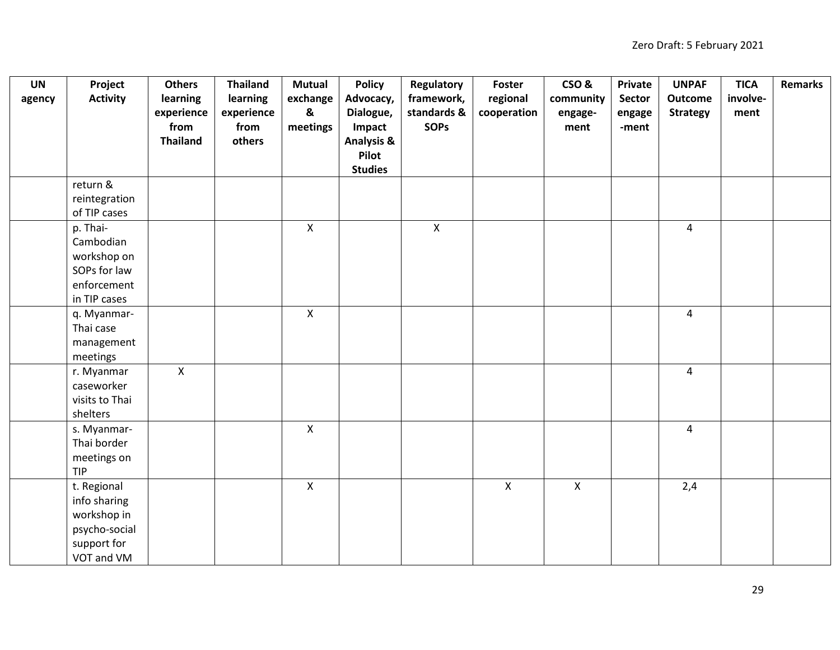| <b>UN</b> | Project         | <b>Others</b>   | <b>Thailand</b> | <b>Mutual</b> | <b>Policy</b>         | Regulatory     | Foster       | CSO&         | Private | <b>UNPAF</b>    | <b>TICA</b> | <b>Remarks</b> |
|-----------|-----------------|-----------------|-----------------|---------------|-----------------------|----------------|--------------|--------------|---------|-----------------|-------------|----------------|
| agency    | <b>Activity</b> | learning        | learning        | exchange      | Advocacy,             | framework,     | regional     | community    | Sector  | Outcome         | involve-    |                |
|           |                 | experience      | experience      | &             | Dialogue,             | standards &    | cooperation  | engage-      | engage  | <b>Strategy</b> | ment        |                |
|           |                 | from            | from            | meetings      | Impact                | <b>SOPs</b>    |              | ment         | -ment   |                 |             |                |
|           |                 | <b>Thailand</b> | others          |               | <b>Analysis &amp;</b> |                |              |              |         |                 |             |                |
|           |                 |                 |                 |               | Pilot                 |                |              |              |         |                 |             |                |
|           |                 |                 |                 |               | <b>Studies</b>        |                |              |              |         |                 |             |                |
|           | return &        |                 |                 |               |                       |                |              |              |         |                 |             |                |
|           | reintegration   |                 |                 |               |                       |                |              |              |         |                 |             |                |
|           | of TIP cases    |                 |                 |               |                       |                |              |              |         |                 |             |                |
|           | p. Thai-        |                 |                 | $\mathsf{X}$  |                       | $\pmb{\times}$ |              |              |         | $\overline{4}$  |             |                |
|           | Cambodian       |                 |                 |               |                       |                |              |              |         |                 |             |                |
|           | workshop on     |                 |                 |               |                       |                |              |              |         |                 |             |                |
|           | SOPs for law    |                 |                 |               |                       |                |              |              |         |                 |             |                |
|           | enforcement     |                 |                 |               |                       |                |              |              |         |                 |             |                |
|           | in TIP cases    |                 |                 |               |                       |                |              |              |         |                 |             |                |
|           | q. Myanmar-     |                 |                 | $\mathsf{X}$  |                       |                |              |              |         | $\overline{4}$  |             |                |
|           | Thai case       |                 |                 |               |                       |                |              |              |         |                 |             |                |
|           | management      |                 |                 |               |                       |                |              |              |         |                 |             |                |
|           | meetings        |                 |                 |               |                       |                |              |              |         |                 |             |                |
|           | r. Myanmar      | $\mathsf{X}$    |                 |               |                       |                |              |              |         | $\overline{4}$  |             |                |
|           | caseworker      |                 |                 |               |                       |                |              |              |         |                 |             |                |
|           | visits to Thai  |                 |                 |               |                       |                |              |              |         |                 |             |                |
|           | shelters        |                 |                 |               |                       |                |              |              |         |                 |             |                |
|           | s. Myanmar-     |                 |                 | $\mathsf{X}$  |                       |                |              |              |         | $\overline{4}$  |             |                |
|           | Thai border     |                 |                 |               |                       |                |              |              |         |                 |             |                |
|           | meetings on     |                 |                 |               |                       |                |              |              |         |                 |             |                |
|           | <b>TIP</b>      |                 |                 |               |                       |                |              |              |         |                 |             |                |
|           | t. Regional     |                 |                 | $\mathsf{X}$  |                       |                | $\mathsf{x}$ | $\mathsf{X}$ |         | 2,4             |             |                |
|           | info sharing    |                 |                 |               |                       |                |              |              |         |                 |             |                |
|           | workshop in     |                 |                 |               |                       |                |              |              |         |                 |             |                |
|           | psycho-social   |                 |                 |               |                       |                |              |              |         |                 |             |                |
|           | support for     |                 |                 |               |                       |                |              |              |         |                 |             |                |
|           | VOT and VM      |                 |                 |               |                       |                |              |              |         |                 |             |                |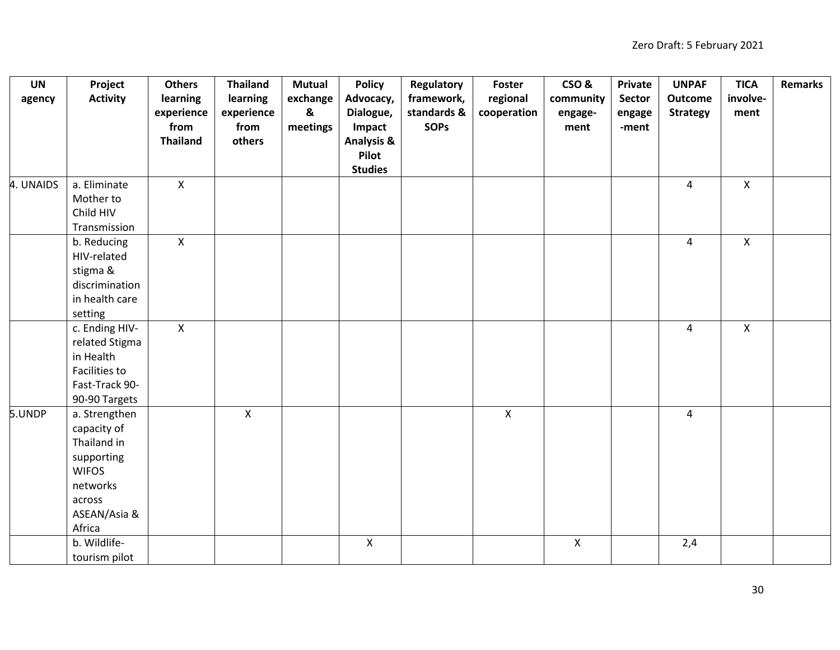| <b>UN</b> | Project         | <b>Others</b>   | <b>Thailand</b> | <b>Mutual</b>             | <b>Policy</b>         | Regulatory  | Foster       | CSO&         | Private | <b>UNPAF</b>    | <b>TICA</b>  | <b>Remarks</b> |
|-----------|-----------------|-----------------|-----------------|---------------------------|-----------------------|-------------|--------------|--------------|---------|-----------------|--------------|----------------|
| agency    | <b>Activity</b> | learning        | learning        | exchange                  | Advocacy,             | framework,  | regional     | community    | Sector  | <b>Outcome</b>  | involve-     |                |
|           |                 | experience      | experience      | $\boldsymbol{\mathsf{g}}$ | Dialogue,             | standards & | cooperation  | engage-      | engage  | <b>Strategy</b> | ment         |                |
|           |                 | from            | from            | meetings                  | Impact                | <b>SOPS</b> |              | ment         | -ment   |                 |              |                |
|           |                 | <b>Thailand</b> | others          |                           | <b>Analysis &amp;</b> |             |              |              |         |                 |              |                |
|           |                 |                 |                 |                           | Pilot                 |             |              |              |         |                 |              |                |
|           |                 |                 |                 |                           | <b>Studies</b>        |             |              |              |         |                 |              |                |
| 4. UNAIDS | a. Eliminate    | $\mathsf{X}$    |                 |                           |                       |             |              |              |         | $\overline{4}$  | $\mathsf{X}$ |                |
|           | Mother to       |                 |                 |                           |                       |             |              |              |         |                 |              |                |
|           | Child HIV       |                 |                 |                           |                       |             |              |              |         |                 |              |                |
|           | Transmission    |                 |                 |                           |                       |             |              |              |         |                 |              |                |
|           | b. Reducing     | $\mathsf{X}$    |                 |                           |                       |             |              |              |         | $\overline{4}$  | $\mathsf X$  |                |
|           | HIV-related     |                 |                 |                           |                       |             |              |              |         |                 |              |                |
|           | stigma &        |                 |                 |                           |                       |             |              |              |         |                 |              |                |
|           | discrimination  |                 |                 |                           |                       |             |              |              |         |                 |              |                |
|           | in health care  |                 |                 |                           |                       |             |              |              |         |                 |              |                |
|           | setting         |                 |                 |                           |                       |             |              |              |         |                 |              |                |
|           | c. Ending HIV-  | $\mathsf{X}$    |                 |                           |                       |             |              |              |         | $\overline{4}$  | $\mathsf{X}$ |                |
|           | related Stigma  |                 |                 |                           |                       |             |              |              |         |                 |              |                |
|           | in Health       |                 |                 |                           |                       |             |              |              |         |                 |              |                |
|           | Facilities to   |                 |                 |                           |                       |             |              |              |         |                 |              |                |
|           | Fast-Track 90-  |                 |                 |                           |                       |             |              |              |         |                 |              |                |
|           | 90-90 Targets   |                 |                 |                           |                       |             |              |              |         |                 |              |                |
| 5.UNDP    | a. Strengthen   |                 | $\mathsf{X}$    |                           |                       |             | $\mathsf{X}$ |              |         | $\overline{4}$  |              |                |
|           | capacity of     |                 |                 |                           |                       |             |              |              |         |                 |              |                |
|           | Thailand in     |                 |                 |                           |                       |             |              |              |         |                 |              |                |
|           | supporting      |                 |                 |                           |                       |             |              |              |         |                 |              |                |
|           | <b>WIFOS</b>    |                 |                 |                           |                       |             |              |              |         |                 |              |                |
|           | networks        |                 |                 |                           |                       |             |              |              |         |                 |              |                |
|           | across          |                 |                 |                           |                       |             |              |              |         |                 |              |                |
|           | ASEAN/Asia &    |                 |                 |                           |                       |             |              |              |         |                 |              |                |
|           | Africa          |                 |                 |                           |                       |             |              |              |         |                 |              |                |
|           | b. Wildlife-    |                 |                 |                           | $\mathsf{X}$          |             |              | $\mathsf{X}$ |         | 2,4             |              |                |
|           | tourism pilot   |                 |                 |                           |                       |             |              |              |         |                 |              |                |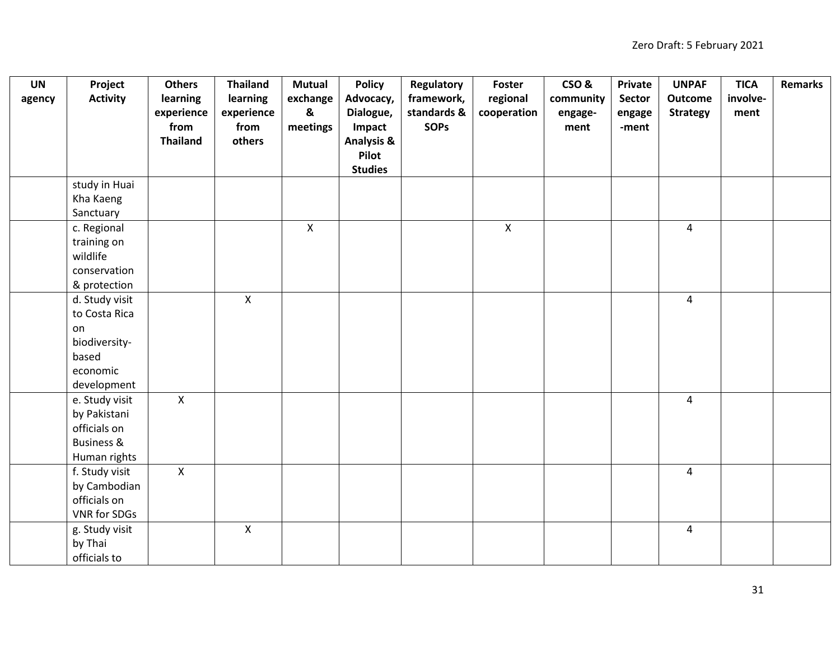| <b>UN</b> | Project               | <b>Others</b>   | <b>Thailand</b> | <b>Mutual</b> | <b>Policy</b>         | Regulatory  | Foster      | CSO&      | Private | <b>UNPAF</b>    | <b>TICA</b> | <b>Remarks</b> |
|-----------|-----------------------|-----------------|-----------------|---------------|-----------------------|-------------|-------------|-----------|---------|-----------------|-------------|----------------|
| agency    | <b>Activity</b>       | learning        | learning        | exchange      | Advocacy,             | framework,  | regional    | community | Sector  | <b>Outcome</b>  | involve-    |                |
|           |                       | experience      | experience      | &             | Dialogue,             | standards & | cooperation | engage-   | engage  | <b>Strategy</b> | ment        |                |
|           |                       | from            | from            | meetings      | Impact                | <b>SOPs</b> |             | ment      | -ment   |                 |             |                |
|           |                       | <b>Thailand</b> | others          |               | <b>Analysis &amp;</b> |             |             |           |         |                 |             |                |
|           |                       |                 |                 |               | Pilot                 |             |             |           |         |                 |             |                |
|           |                       |                 |                 |               | <b>Studies</b>        |             |             |           |         |                 |             |                |
|           | study in Huai         |                 |                 |               |                       |             |             |           |         |                 |             |                |
|           | Kha Kaeng             |                 |                 |               |                       |             |             |           |         |                 |             |                |
|           | Sanctuary             |                 |                 |               |                       |             |             |           |         |                 |             |                |
|           | c. Regional           |                 |                 | $\mathsf{X}$  |                       |             | X           |           |         | $\overline{4}$  |             |                |
|           | training on           |                 |                 |               |                       |             |             |           |         |                 |             |                |
|           | wildlife              |                 |                 |               |                       |             |             |           |         |                 |             |                |
|           | conservation          |                 |                 |               |                       |             |             |           |         |                 |             |                |
|           | & protection          |                 |                 |               |                       |             |             |           |         |                 |             |                |
|           | d. Study visit        |                 | $\pmb{\times}$  |               |                       |             |             |           |         | $\overline{4}$  |             |                |
|           | to Costa Rica         |                 |                 |               |                       |             |             |           |         |                 |             |                |
|           | on                    |                 |                 |               |                       |             |             |           |         |                 |             |                |
|           | biodiversity-         |                 |                 |               |                       |             |             |           |         |                 |             |                |
|           | based                 |                 |                 |               |                       |             |             |           |         |                 |             |                |
|           | economic              |                 |                 |               |                       |             |             |           |         |                 |             |                |
|           | development           |                 |                 |               |                       |             |             |           |         |                 |             |                |
|           | e. Study visit        | $\mathsf{X}$    |                 |               |                       |             |             |           |         | $\overline{4}$  |             |                |
|           | by Pakistani          |                 |                 |               |                       |             |             |           |         |                 |             |                |
|           | officials on          |                 |                 |               |                       |             |             |           |         |                 |             |                |
|           | <b>Business &amp;</b> |                 |                 |               |                       |             |             |           |         |                 |             |                |
|           | Human rights          |                 |                 |               |                       |             |             |           |         |                 |             |                |
|           | f. Study visit        | $\mathsf{X}$    |                 |               |                       |             |             |           |         | $\overline{4}$  |             |                |
|           | by Cambodian          |                 |                 |               |                       |             |             |           |         |                 |             |                |
|           | officials on          |                 |                 |               |                       |             |             |           |         |                 |             |                |
|           | VNR for SDGs          |                 |                 |               |                       |             |             |           |         |                 |             |                |
|           | g. Study visit        |                 | $\mathsf{X}$    |               |                       |             |             |           |         | 4               |             |                |
|           | by Thai               |                 |                 |               |                       |             |             |           |         |                 |             |                |
|           | officials to          |                 |                 |               |                       |             |             |           |         |                 |             |                |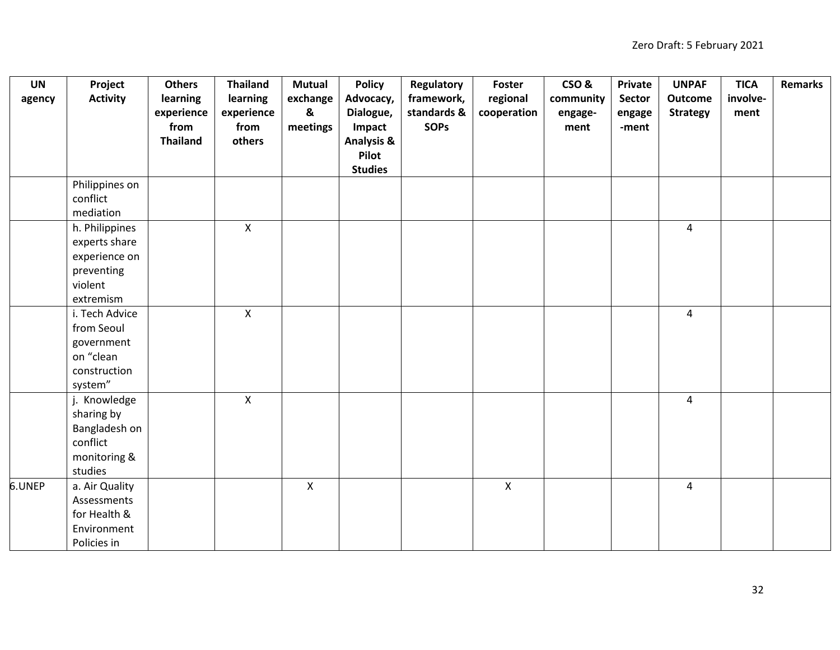| <b>UN</b> | Project         | <b>Others</b>   | <b>Thailand</b> | <b>Mutual</b>             | <b>Policy</b>         | Regulatory  | Foster       | CSO&      | Private | <b>UNPAF</b>    | <b>TICA</b> | <b>Remarks</b> |
|-----------|-----------------|-----------------|-----------------|---------------------------|-----------------------|-------------|--------------|-----------|---------|-----------------|-------------|----------------|
| agency    | <b>Activity</b> | learning        | learning        | exchange                  | Advocacy,             | framework,  | regional     | community | Sector  | <b>Outcome</b>  | involve-    |                |
|           |                 | experience      | experience      | $\boldsymbol{\mathsf{g}}$ | Dialogue,             | standards & | cooperation  | engage-   | engage  | <b>Strategy</b> | ment        |                |
|           |                 | from            | from            | meetings                  | Impact                | <b>SOPS</b> |              | ment      | -ment   |                 |             |                |
|           |                 | <b>Thailand</b> | others          |                           | <b>Analysis &amp;</b> |             |              |           |         |                 |             |                |
|           |                 |                 |                 |                           | Pilot                 |             |              |           |         |                 |             |                |
|           |                 |                 |                 |                           | <b>Studies</b>        |             |              |           |         |                 |             |                |
|           | Philippines on  |                 |                 |                           |                       |             |              |           |         |                 |             |                |
|           | conflict        |                 |                 |                           |                       |             |              |           |         |                 |             |                |
|           | mediation       |                 |                 |                           |                       |             |              |           |         |                 |             |                |
|           | h. Philippines  |                 | $\mathsf{X}$    |                           |                       |             |              |           |         | $\overline{4}$  |             |                |
|           | experts share   |                 |                 |                           |                       |             |              |           |         |                 |             |                |
|           | experience on   |                 |                 |                           |                       |             |              |           |         |                 |             |                |
|           | preventing      |                 |                 |                           |                       |             |              |           |         |                 |             |                |
|           | violent         |                 |                 |                           |                       |             |              |           |         |                 |             |                |
|           | extremism       |                 |                 |                           |                       |             |              |           |         |                 |             |                |
|           | i. Tech Advice  |                 | $\mathsf{X}$    |                           |                       |             |              |           |         | $\overline{4}$  |             |                |
|           | from Seoul      |                 |                 |                           |                       |             |              |           |         |                 |             |                |
|           | government      |                 |                 |                           |                       |             |              |           |         |                 |             |                |
|           | on "clean       |                 |                 |                           |                       |             |              |           |         |                 |             |                |
|           | construction    |                 |                 |                           |                       |             |              |           |         |                 |             |                |
|           | system"         |                 |                 |                           |                       |             |              |           |         |                 |             |                |
|           | j. Knowledge    |                 | $\pmb{\times}$  |                           |                       |             |              |           |         | $\overline{4}$  |             |                |
|           | sharing by      |                 |                 |                           |                       |             |              |           |         |                 |             |                |
|           | Bangladesh on   |                 |                 |                           |                       |             |              |           |         |                 |             |                |
|           | conflict        |                 |                 |                           |                       |             |              |           |         |                 |             |                |
|           | monitoring &    |                 |                 |                           |                       |             |              |           |         |                 |             |                |
|           | studies         |                 |                 |                           |                       |             |              |           |         |                 |             |                |
| 6.UNEP    | a. Air Quality  |                 |                 | $\mathsf{X}$              |                       |             | $\mathsf{X}$ |           |         | 4               |             |                |
|           | Assessments     |                 |                 |                           |                       |             |              |           |         |                 |             |                |
|           | for Health &    |                 |                 |                           |                       |             |              |           |         |                 |             |                |
|           | Environment     |                 |                 |                           |                       |             |              |           |         |                 |             |                |
|           | Policies in     |                 |                 |                           |                       |             |              |           |         |                 |             |                |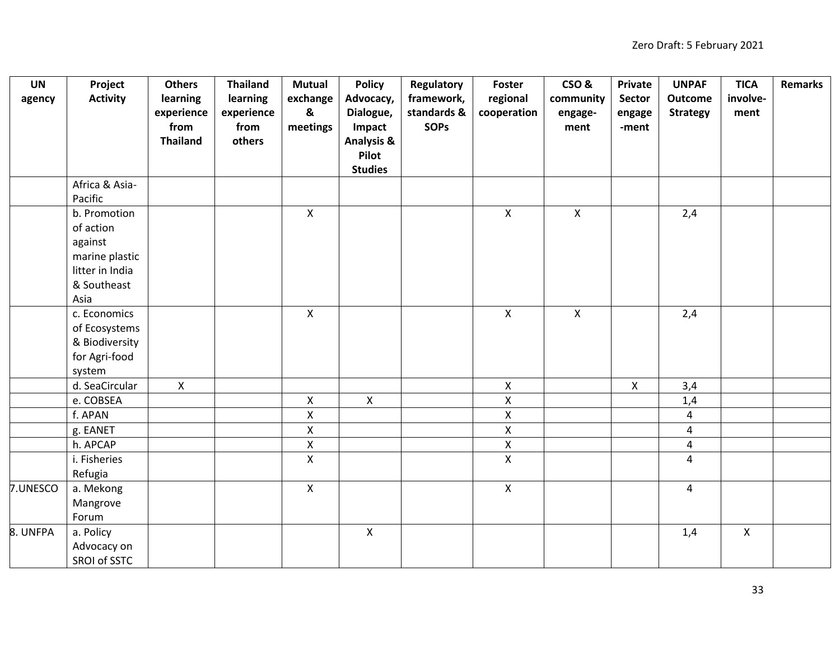| <b>UN</b> | Project         | <b>Others</b>   | <b>Thailand</b> | <b>Mutual</b> | <b>Policy</b>         | Regulatory  | Foster             | CSO&         | Private     | <b>UNPAF</b>    | <b>TICA</b>  | <b>Remarks</b> |
|-----------|-----------------|-----------------|-----------------|---------------|-----------------------|-------------|--------------------|--------------|-------------|-----------------|--------------|----------------|
| agency    | <b>Activity</b> | learning        | learning        | exchange      | Advocacy,             | framework,  | regional           | community    | Sector      | <b>Outcome</b>  | involve-     |                |
|           |                 | experience      | experience      | &             | Dialogue,             | standards & | cooperation        | engage-      | engage      | <b>Strategy</b> | ment         |                |
|           |                 | from            | from            | meetings      | Impact                | <b>SOPS</b> |                    | ment         | -ment       |                 |              |                |
|           |                 | <b>Thailand</b> | others          |               | <b>Analysis &amp;</b> |             |                    |              |             |                 |              |                |
|           |                 |                 |                 |               | Pilot                 |             |                    |              |             |                 |              |                |
|           |                 |                 |                 |               | <b>Studies</b>        |             |                    |              |             |                 |              |                |
|           | Africa & Asia-  |                 |                 |               |                       |             |                    |              |             |                 |              |                |
|           | Pacific         |                 |                 |               |                       |             |                    |              |             |                 |              |                |
|           | b. Promotion    |                 |                 | $\mathsf{X}$  |                       |             | $\mathsf{X}$       | $\mathsf{X}$ |             | 2,4             |              |                |
|           | of action       |                 |                 |               |                       |             |                    |              |             |                 |              |                |
|           | against         |                 |                 |               |                       |             |                    |              |             |                 |              |                |
|           | marine plastic  |                 |                 |               |                       |             |                    |              |             |                 |              |                |
|           | litter in India |                 |                 |               |                       |             |                    |              |             |                 |              |                |
|           | & Southeast     |                 |                 |               |                       |             |                    |              |             |                 |              |                |
|           | Asia            |                 |                 |               |                       |             |                    |              |             |                 |              |                |
|           | c. Economics    |                 |                 | $\mathsf{X}$  |                       |             | $\mathsf{X}$       | $\mathsf{X}$ |             | 2,4             |              |                |
|           | of Ecosystems   |                 |                 |               |                       |             |                    |              |             |                 |              |                |
|           | & Biodiversity  |                 |                 |               |                       |             |                    |              |             |                 |              |                |
|           | for Agri-food   |                 |                 |               |                       |             |                    |              |             |                 |              |                |
|           | system          |                 |                 |               |                       |             |                    |              |             |                 |              |                |
|           | d. SeaCircular  | $\mathsf{X}$    |                 |               |                       |             | $\pmb{\mathsf{X}}$ |              | $\mathsf X$ | 3,4             |              |                |
|           | e. COBSEA       |                 |                 | $\mathsf{X}$  | $\pmb{\times}$        |             | $\pmb{\mathsf{X}}$ |              |             | 1,4             |              |                |
|           | f. APAN         |                 |                 | $\mathsf{X}$  |                       |             | $\pmb{\mathsf{X}}$ |              |             | 4               |              |                |
|           | g. EANET        |                 |                 | $\mathsf{X}$  |                       |             | $\mathsf X$        |              |             | 4               |              |                |
|           | h. APCAP        |                 |                 | $\mathsf{X}$  |                       |             | $\pmb{\mathsf{X}}$ |              |             | $\overline{4}$  |              |                |
|           | i. Fisheries    |                 |                 | $\mathsf{X}$  |                       |             | $\pmb{\times}$     |              |             | 4               |              |                |
|           | Refugia         |                 |                 |               |                       |             |                    |              |             |                 |              |                |
| 7.UNESCO  | a. Mekong       |                 |                 | $\mathsf{X}$  |                       |             | $\overline{X}$     |              |             | 4               |              |                |
|           | Mangrove        |                 |                 |               |                       |             |                    |              |             |                 |              |                |
|           | Forum           |                 |                 |               |                       |             |                    |              |             |                 |              |                |
| 8. UNFPA  | a. Policy       |                 |                 |               | $\boldsymbol{X}$      |             |                    |              |             | 1,4             | $\mathsf{X}$ |                |
|           | Advocacy on     |                 |                 |               |                       |             |                    |              |             |                 |              |                |
|           | SROI of SSTC    |                 |                 |               |                       |             |                    |              |             |                 |              |                |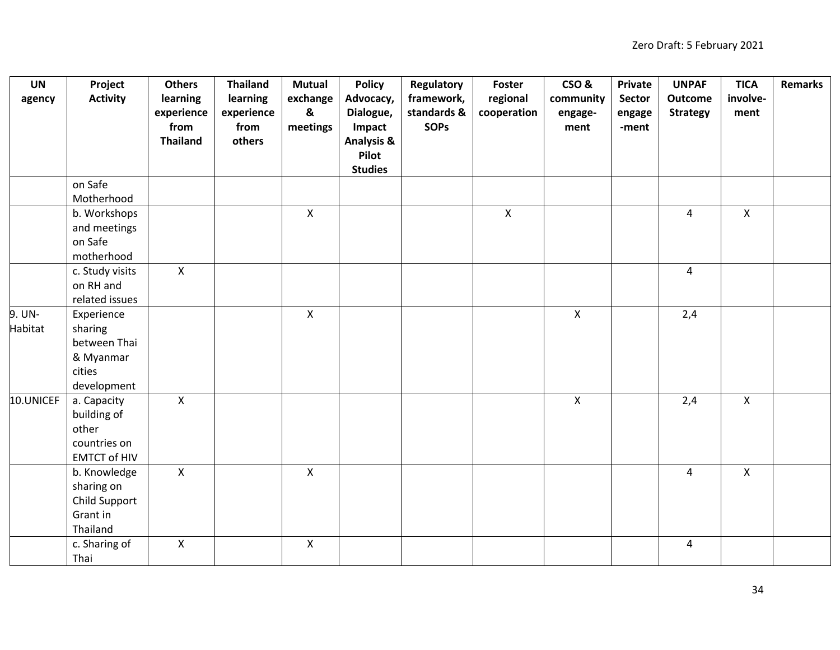| <b>UN</b> | Project             | <b>Others</b>   | <b>Thailand</b> | <b>Mutual</b> | <b>Policy</b>         | Regulatory  | Foster       | CSO&         | Private | <b>UNPAF</b>    | <b>TICA</b>  | <b>Remarks</b> |
|-----------|---------------------|-----------------|-----------------|---------------|-----------------------|-------------|--------------|--------------|---------|-----------------|--------------|----------------|
| agency    | <b>Activity</b>     | learning        | learning        | exchange      | Advocacy,             | framework,  | regional     | community    | Sector  | <b>Outcome</b>  | involve-     |                |
|           |                     | experience      | experience      | &             | Dialogue,             | standards & | cooperation  | engage-      | engage  | <b>Strategy</b> | ment         |                |
|           |                     | from            | from            | meetings      | Impact                | <b>SOPs</b> |              | ment         | -ment   |                 |              |                |
|           |                     | <b>Thailand</b> | others          |               | <b>Analysis &amp;</b> |             |              |              |         |                 |              |                |
|           |                     |                 |                 |               | Pilot                 |             |              |              |         |                 |              |                |
|           |                     |                 |                 |               | <b>Studies</b>        |             |              |              |         |                 |              |                |
|           | on Safe             |                 |                 |               |                       |             |              |              |         |                 |              |                |
|           | Motherhood          |                 |                 |               |                       |             |              |              |         |                 |              |                |
|           | b. Workshops        |                 |                 | $\mathsf{X}$  |                       |             | $\mathsf{X}$ |              |         | $\overline{4}$  | $\mathsf{X}$ |                |
|           | and meetings        |                 |                 |               |                       |             |              |              |         |                 |              |                |
|           | on Safe             |                 |                 |               |                       |             |              |              |         |                 |              |                |
|           | motherhood          |                 |                 |               |                       |             |              |              |         |                 |              |                |
|           | c. Study visits     | $\mathsf{X}$    |                 |               |                       |             |              |              |         | $\overline{4}$  |              |                |
|           | on RH and           |                 |                 |               |                       |             |              |              |         |                 |              |                |
|           | related issues      |                 |                 |               |                       |             |              |              |         |                 |              |                |
| 9. UN-    | Experience          |                 |                 | $\mathsf{X}$  |                       |             |              | $\mathsf{X}$ |         | 2,4             |              |                |
| Habitat   | sharing             |                 |                 |               |                       |             |              |              |         |                 |              |                |
|           | between Thai        |                 |                 |               |                       |             |              |              |         |                 |              |                |
|           | & Myanmar<br>cities |                 |                 |               |                       |             |              |              |         |                 |              |                |
|           | development         |                 |                 |               |                       |             |              |              |         |                 |              |                |
| 10.UNICEF | a. Capacity         | $\mathsf{X}$    |                 |               |                       |             |              | $\mathsf{X}$ |         | 2,4             | $\mathsf{x}$ |                |
|           | building of         |                 |                 |               |                       |             |              |              |         |                 |              |                |
|           | other               |                 |                 |               |                       |             |              |              |         |                 |              |                |
|           | countries on        |                 |                 |               |                       |             |              |              |         |                 |              |                |
|           | <b>EMTCT of HIV</b> |                 |                 |               |                       |             |              |              |         |                 |              |                |
|           | b. Knowledge        | $\mathsf{X}$    |                 | $\mathsf{X}$  |                       |             |              |              |         | $\overline{4}$  | $\mathsf{x}$ |                |
|           | sharing on          |                 |                 |               |                       |             |              |              |         |                 |              |                |
|           | Child Support       |                 |                 |               |                       |             |              |              |         |                 |              |                |
|           | Grant in            |                 |                 |               |                       |             |              |              |         |                 |              |                |
|           | Thailand            |                 |                 |               |                       |             |              |              |         |                 |              |                |
|           | c. Sharing of       | $\mathsf{X}$    |                 | $\mathsf{X}$  |                       |             |              |              |         | $\overline{4}$  |              |                |
|           | Thai                |                 |                 |               |                       |             |              |              |         |                 |              |                |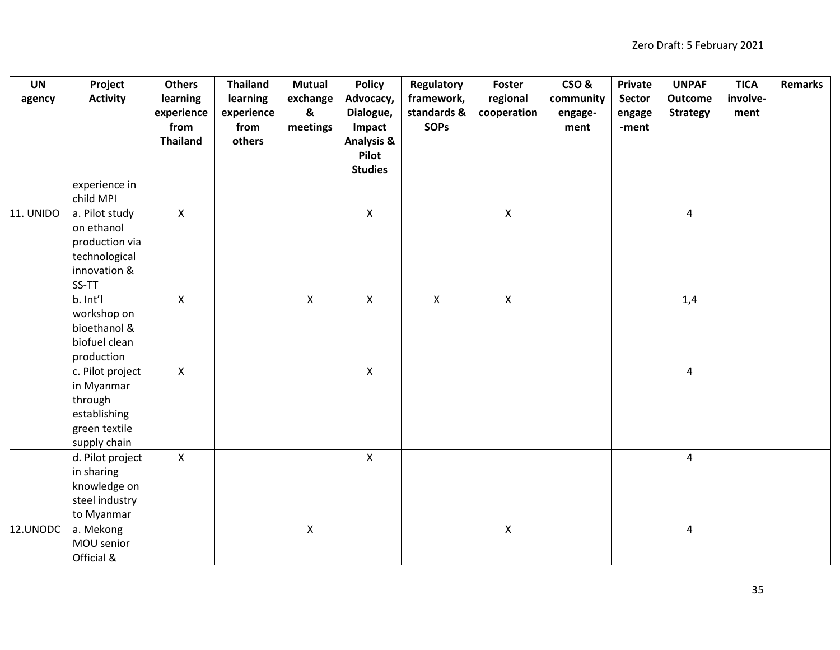| <b>UN</b> | Project          | <b>Others</b>   | <b>Thailand</b> | <b>Mutual</b> | <b>Policy</b>         | <b>Regulatory</b> | Foster       | CSO&      | <b>Private</b> | <b>UNPAF</b>    | <b>TICA</b> | <b>Remarks</b> |
|-----------|------------------|-----------------|-----------------|---------------|-----------------------|-------------------|--------------|-----------|----------------|-----------------|-------------|----------------|
| agency    | <b>Activity</b>  | learning        | learning        | exchange      | Advocacy,             | framework,        | regional     | community | Sector         | <b>Outcome</b>  | involve-    |                |
|           |                  | experience      | experience      | &             | Dialogue,             | standards &       | cooperation  | engage-   | engage         | <b>Strategy</b> | ment        |                |
|           |                  | from            | from            | meetings      | Impact                | <b>SOPs</b>       |              | ment      | -ment          |                 |             |                |
|           |                  | <b>Thailand</b> | others          |               | <b>Analysis &amp;</b> |                   |              |           |                |                 |             |                |
|           |                  |                 |                 |               | Pilot                 |                   |              |           |                |                 |             |                |
|           |                  |                 |                 |               | <b>Studies</b>        |                   |              |           |                |                 |             |                |
|           | experience in    |                 |                 |               |                       |                   |              |           |                |                 |             |                |
|           | child MPI        |                 |                 |               |                       |                   |              |           |                |                 |             |                |
| 11. UNIDO | a. Pilot study   | $\mathsf{X}$    |                 |               | $\mathsf{X}$          |                   | $\mathsf{X}$ |           |                | $\overline{4}$  |             |                |
|           | on ethanol       |                 |                 |               |                       |                   |              |           |                |                 |             |                |
|           | production via   |                 |                 |               |                       |                   |              |           |                |                 |             |                |
|           | technological    |                 |                 |               |                       |                   |              |           |                |                 |             |                |
|           | innovation &     |                 |                 |               |                       |                   |              |           |                |                 |             |                |
|           | SS-TT            |                 |                 |               |                       |                   |              |           |                |                 |             |                |
|           | b. Int'l         | $\pmb{\times}$  |                 | $\mathsf{X}$  | $\mathsf{X}$          | $\pmb{\times}$    | $\mathsf X$  |           |                | 1,4             |             |                |
|           | workshop on      |                 |                 |               |                       |                   |              |           |                |                 |             |                |
|           | bioethanol &     |                 |                 |               |                       |                   |              |           |                |                 |             |                |
|           | biofuel clean    |                 |                 |               |                       |                   |              |           |                |                 |             |                |
|           | production       |                 |                 |               |                       |                   |              |           |                |                 |             |                |
|           | c. Pilot project | $\mathsf{X}$    |                 |               | $\mathsf{X}$          |                   |              |           |                | $\overline{4}$  |             |                |
|           | in Myanmar       |                 |                 |               |                       |                   |              |           |                |                 |             |                |
|           | through          |                 |                 |               |                       |                   |              |           |                |                 |             |                |
|           | establishing     |                 |                 |               |                       |                   |              |           |                |                 |             |                |
|           | green textile    |                 |                 |               |                       |                   |              |           |                |                 |             |                |
|           | supply chain     |                 |                 |               |                       |                   |              |           |                |                 |             |                |
|           | d. Pilot project | $\mathsf{X}$    |                 |               | $\mathsf{X}$          |                   |              |           |                | $\overline{4}$  |             |                |
|           | in sharing       |                 |                 |               |                       |                   |              |           |                |                 |             |                |
|           | knowledge on     |                 |                 |               |                       |                   |              |           |                |                 |             |                |
|           | steel industry   |                 |                 |               |                       |                   |              |           |                |                 |             |                |
|           | to Myanmar       |                 |                 |               |                       |                   |              |           |                |                 |             |                |
| 12.UNODC  | a. Mekong        |                 |                 | $\mathsf{X}$  |                       |                   | $\mathsf{X}$ |           |                | $\overline{4}$  |             |                |
|           | MOU senior       |                 |                 |               |                       |                   |              |           |                |                 |             |                |
|           | Official &       |                 |                 |               |                       |                   |              |           |                |                 |             |                |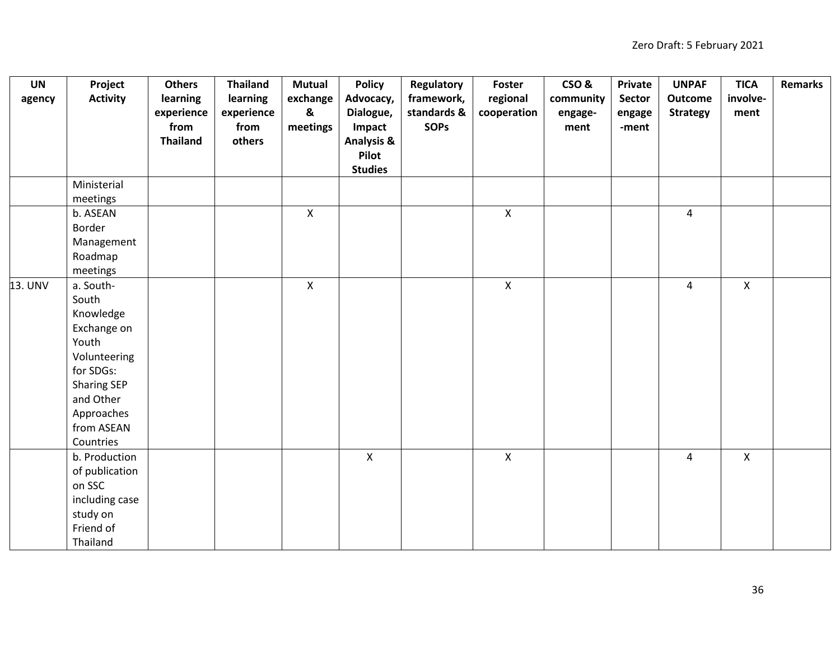| <b>UN</b> | Project            | <b>Others</b>   | <b>Thailand</b> | <b>Mutual</b>             | <b>Policy</b>         | Regulatory  | Foster       | CSO&      | Private | <b>UNPAF</b>    | <b>TICA</b>  | <b>Remarks</b> |
|-----------|--------------------|-----------------|-----------------|---------------------------|-----------------------|-------------|--------------|-----------|---------|-----------------|--------------|----------------|
| agency    | <b>Activity</b>    | learning        | learning        | exchange                  | Advocacy,             | framework,  | regional     | community | Sector  | <b>Outcome</b>  | involve-     |                |
|           |                    | experience      | experience      | $\boldsymbol{\mathsf{g}}$ | Dialogue,             | standards & | cooperation  | engage-   | engage  | <b>Strategy</b> | ment         |                |
|           |                    | from            | from            | meetings                  | Impact                | <b>SOPS</b> |              | ment      | -ment   |                 |              |                |
|           |                    | <b>Thailand</b> | others          |                           | <b>Analysis &amp;</b> |             |              |           |         |                 |              |                |
|           |                    |                 |                 |                           | Pilot                 |             |              |           |         |                 |              |                |
|           |                    |                 |                 |                           | <b>Studies</b>        |             |              |           |         |                 |              |                |
|           | Ministerial        |                 |                 |                           |                       |             |              |           |         |                 |              |                |
|           | meetings           |                 |                 |                           |                       |             |              |           |         |                 |              |                |
|           | b. ASEAN           |                 |                 | $\mathsf{X}$              |                       |             | $\mathsf{X}$ |           |         | $\overline{4}$  |              |                |
|           | Border             |                 |                 |                           |                       |             |              |           |         |                 |              |                |
|           | Management         |                 |                 |                           |                       |             |              |           |         |                 |              |                |
|           | Roadmap            |                 |                 |                           |                       |             |              |           |         |                 |              |                |
|           | meetings           |                 |                 |                           |                       |             |              |           |         |                 |              |                |
| 13. UNV   | a. South-          |                 |                 | $\mathsf{X}$              |                       |             | $\mathsf{X}$ |           |         | $\overline{4}$  | $\mathsf{X}$ |                |
|           | South              |                 |                 |                           |                       |             |              |           |         |                 |              |                |
|           | Knowledge          |                 |                 |                           |                       |             |              |           |         |                 |              |                |
|           | Exchange on        |                 |                 |                           |                       |             |              |           |         |                 |              |                |
|           | Youth              |                 |                 |                           |                       |             |              |           |         |                 |              |                |
|           | Volunteering       |                 |                 |                           |                       |             |              |           |         |                 |              |                |
|           | for SDGs:          |                 |                 |                           |                       |             |              |           |         |                 |              |                |
|           | <b>Sharing SEP</b> |                 |                 |                           |                       |             |              |           |         |                 |              |                |
|           | and Other          |                 |                 |                           |                       |             |              |           |         |                 |              |                |
|           | Approaches         |                 |                 |                           |                       |             |              |           |         |                 |              |                |
|           | from ASEAN         |                 |                 |                           |                       |             |              |           |         |                 |              |                |
|           | Countries          |                 |                 |                           |                       |             |              |           |         |                 |              |                |
|           | b. Production      |                 |                 |                           | $\pmb{\times}$        |             | $\mathsf X$  |           |         | $\overline{4}$  | X            |                |
|           | of publication     |                 |                 |                           |                       |             |              |           |         |                 |              |                |
|           | on SSC             |                 |                 |                           |                       |             |              |           |         |                 |              |                |
|           | including case     |                 |                 |                           |                       |             |              |           |         |                 |              |                |
|           | study on           |                 |                 |                           |                       |             |              |           |         |                 |              |                |
|           | Friend of          |                 |                 |                           |                       |             |              |           |         |                 |              |                |
|           | Thailand           |                 |                 |                           |                       |             |              |           |         |                 |              |                |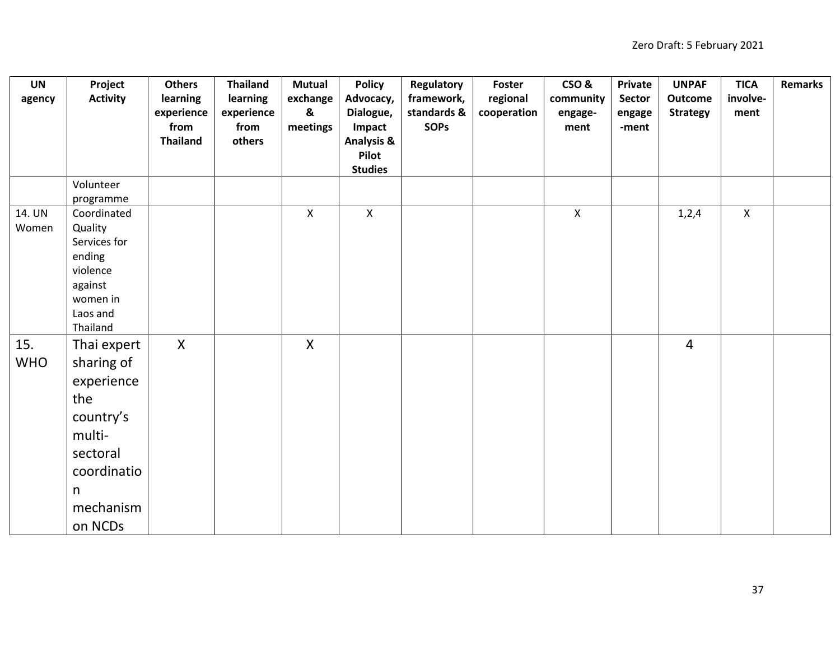| <b>UN</b>  | Project              | <b>Others</b>   | <b>Thailand</b> | <b>Mutual</b> | <b>Policy</b>           | Regulatory  | Foster      | CSO&           | Private       | <b>UNPAF</b>    | <b>TICA</b>  | <b>Remarks</b> |
|------------|----------------------|-----------------|-----------------|---------------|-------------------------|-------------|-------------|----------------|---------------|-----------------|--------------|----------------|
| agency     | <b>Activity</b>      | learning        | learning        | exchange      | Advocacy,               | framework,  | regional    | community      | <b>Sector</b> | Outcome         | involve-     |                |
|            |                      | experience      | experience      | &             | Dialogue,               | standards & | cooperation | engage-        | engage        | <b>Strategy</b> | ment         |                |
|            |                      | from            | from            | meetings      | Impact                  | <b>SOPs</b> |             | ment           | -ment         |                 |              |                |
|            |                      | <b>Thailand</b> | others          |               | <b>Analysis &amp;</b>   |             |             |                |               |                 |              |                |
|            |                      |                 |                 |               | Pilot<br><b>Studies</b> |             |             |                |               |                 |              |                |
|            | Volunteer            |                 |                 |               |                         |             |             |                |               |                 |              |                |
|            | programme            |                 |                 |               |                         |             |             |                |               |                 |              |                |
| 14. UN     | Coordinated          |                 |                 | $\mathsf{X}$  | $\pmb{\times}$          |             |             | $\pmb{\times}$ |               | 1,2,4           | $\mathsf{X}$ |                |
| Women      | Quality              |                 |                 |               |                         |             |             |                |               |                 |              |                |
|            | Services for         |                 |                 |               |                         |             |             |                |               |                 |              |                |
|            | ending               |                 |                 |               |                         |             |             |                |               |                 |              |                |
|            | violence             |                 |                 |               |                         |             |             |                |               |                 |              |                |
|            | against              |                 |                 |               |                         |             |             |                |               |                 |              |                |
|            | women in<br>Laos and |                 |                 |               |                         |             |             |                |               |                 |              |                |
|            | Thailand             |                 |                 |               |                         |             |             |                |               |                 |              |                |
| 15.        | Thai expert          | $\mathsf{X}$    |                 | $\mathsf{X}$  |                         |             |             |                |               | $\overline{4}$  |              |                |
| <b>WHO</b> | sharing of           |                 |                 |               |                         |             |             |                |               |                 |              |                |
|            |                      |                 |                 |               |                         |             |             |                |               |                 |              |                |
|            | experience           |                 |                 |               |                         |             |             |                |               |                 |              |                |
|            | the                  |                 |                 |               |                         |             |             |                |               |                 |              |                |
|            | country's            |                 |                 |               |                         |             |             |                |               |                 |              |                |
|            | multi-               |                 |                 |               |                         |             |             |                |               |                 |              |                |
|            | sectoral             |                 |                 |               |                         |             |             |                |               |                 |              |                |
|            | coordinatio          |                 |                 |               |                         |             |             |                |               |                 |              |                |
|            | n                    |                 |                 |               |                         |             |             |                |               |                 |              |                |
|            | mechanism            |                 |                 |               |                         |             |             |                |               |                 |              |                |
|            | on NCDs              |                 |                 |               |                         |             |             |                |               |                 |              |                |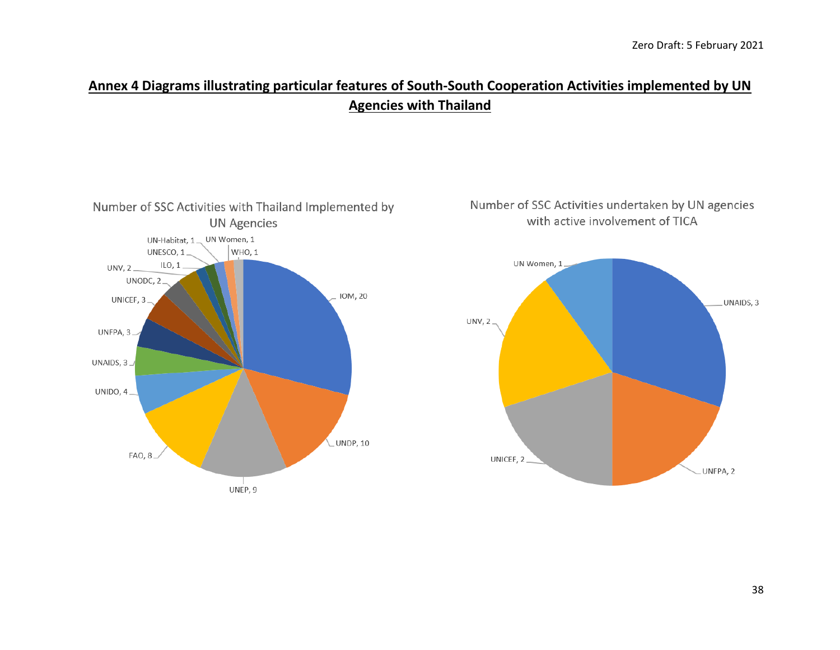## **Annex 4 Diagrams illustrating particular features of South-South Cooperation Activities implemented by UN Agencies with Thailand**



### Number of SSC Activities undertaken by UN agencies with active involvement of TICA

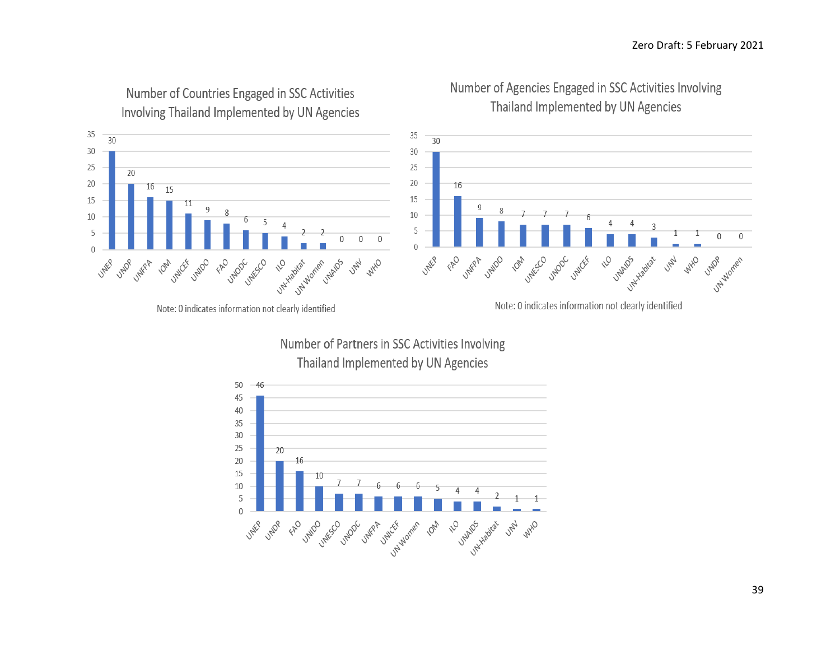

## Number of Countries Engaged in SSC Activities Involving Thailand Implemented by UN Agencies





Note: 0 indicates information not clearly identified

Number of Partners in SSC Activities Involving Thailand Implemented by UN Agencies



Note: 0 indicates information not clearly identified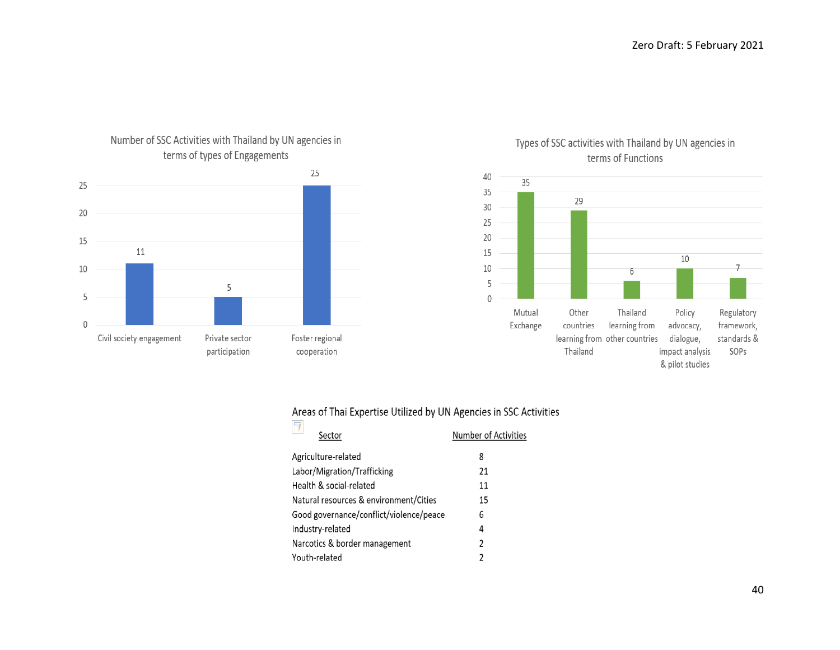

### Number of SSC Activities with Thailand by UN agencies in terms of types of Engagements

Types of SSC activities with Thailand by UN agencies in terms of Functions



#### Areas of Thai Expertise Utilized by UN Agencies in SSC Activities  $\Box$

| 7<br>Sector                             | Number of Activities |
|-----------------------------------------|----------------------|
| Agriculture-related                     | 8                    |
| Labor/Migration/Trafficking             | 21                   |
| Health & social-related                 | 11                   |
| Natural resources & environment/Cities  | 15                   |
| Good governance/conflict/violence/peace | 6                    |
| Industry-related                        | 4                    |
| Narcotics & border management           | $\overline{2}$       |
| Youth-related                           | $\mathfrak z$        |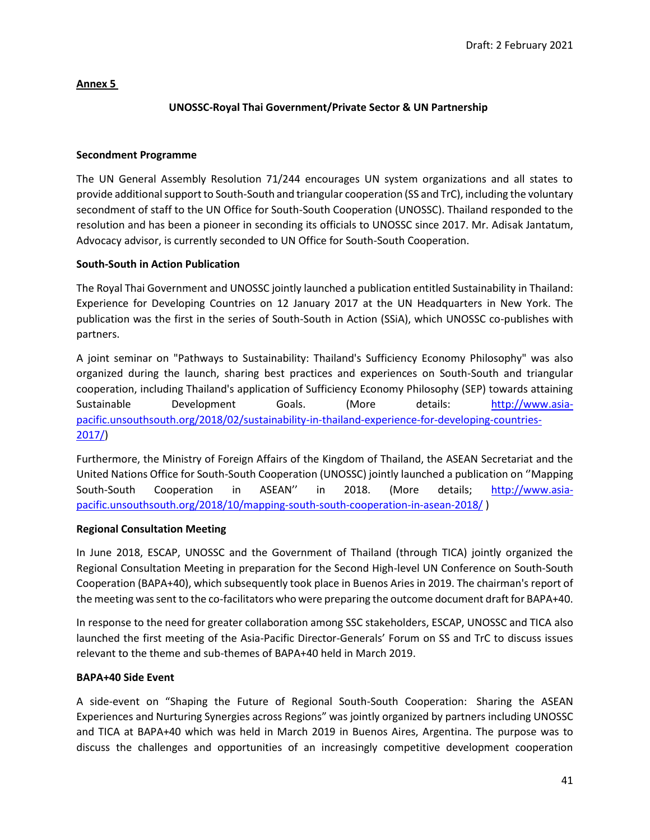### **Annex 5**

### **UNOSSC-Royal Thai Government/Private Sector & UN Partnership**

### **Secondment Programme**

The UN General Assembly Resolution 71/244 encourages UN system organizations and all states to provide additional support to South-South and triangular cooperation (SS and TrC), including the voluntary secondment of staff to the UN Office for South-South Cooperation (UNOSSC). Thailand responded to the resolution and has been a pioneer in seconding its officials to UNOSSC since 2017. Mr. Adisak Jantatum, Advocacy advisor, is currently seconded to UN Office for South-South Cooperation.

### **South-South in Action Publication**

The Royal Thai Government and UNOSSC jointly launched a publication entitled Sustainability in Thailand: Experience for Developing Countries on 12 January 2017 at the UN Headquarters in New York. The publication was the first in the series of South-South in Action (SSiA), which UNOSSC co-publishes with partners.

A joint seminar on "Pathways to Sustainability: Thailand's Sufficiency Economy Philosophy" was also organized during the launch, sharing best practices and experiences on South-South and triangular cooperation, including Thailand's application of Sufficiency Economy Philosophy (SEP) towards attaining Sustainable Development Goals. (More details: [http://www.asia](http://www.asia-pacific.unsouthsouth.org/2018/02/sustainability-in-thailand-experience-for-developing-countries-2017/)[pacific.unsouthsouth.org/2018/02/sustainability-in-thailand-experience-for-developing-countries-](http://www.asia-pacific.unsouthsouth.org/2018/02/sustainability-in-thailand-experience-for-developing-countries-2017/)[2017/\)](http://www.asia-pacific.unsouthsouth.org/2018/02/sustainability-in-thailand-experience-for-developing-countries-2017/)

Furthermore, the Ministry of Foreign Affairs of the Kingdom of Thailand, the ASEAN Secretariat and the United Nations Office for South-South Cooperation (UNOSSC) jointly launched a publication on ''Mapping South-South Cooperation in ASEAN'' in 2018. (More details; [http://www.asia](http://www.asia-pacific.unsouthsouth.org/2018/10/mapping-south-south-cooperation-in-asean-2018/)[pacific.unsouthsouth.org/2018/10/mapping-south-south-cooperation-in-asean-2018/](http://www.asia-pacific.unsouthsouth.org/2018/10/mapping-south-south-cooperation-in-asean-2018/) )

### **Regional Consultation Meeting**

In June 2018, ESCAP, UNOSSC and the Government of Thailand (through TICA) jointly organized the Regional Consultation Meeting in preparation for the Second High-level UN Conference on South-South Cooperation (BAPA+40), which subsequently took place in Buenos Aries in 2019. The chairman's report of the meeting was sent to the co-facilitators who were preparing the outcome document draft for BAPA+40.

In response to the need for greater collaboration among SSC stakeholders, ESCAP, UNOSSC and TICA also launched the first meeting of the Asia-Pacific Director-Generals' Forum on SS and TrC to discuss issues relevant to the theme and sub-themes of BAPA+40 held in March 2019.

### **BAPA+40 Side Event**

A side-event on "Shaping the Future of Regional South-South Cooperation: Sharing the ASEAN Experiences and Nurturing Synergies across Regions" was jointly organized by partners including UNOSSC and TICA at BAPA+40 which was held in March 2019 in Buenos Aires, Argentina. The purpose was to discuss the challenges and opportunities of an increasingly competitive development cooperation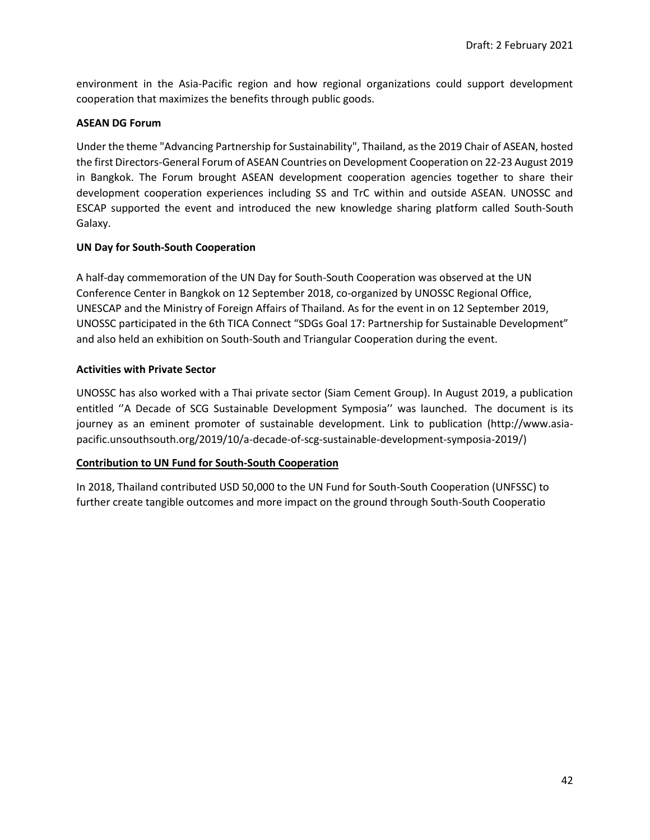environment in the Asia-Pacific region and how regional organizations could support development cooperation that maximizes the benefits through public goods.

### **ASEAN DG Forum**

Under the theme "Advancing Partnership for Sustainability", Thailand, as the 2019 Chair of ASEAN, hosted the first Directors-General Forum of ASEAN Countries on Development Cooperation on 22-23 August 2019 in Bangkok. The Forum brought ASEAN development cooperation agencies together to share their development cooperation experiences including SS and TrC within and outside ASEAN. UNOSSC and ESCAP supported the event and introduced the new knowledge sharing platform called South-South Galaxy.

### **UN Day for South-South Cooperation**

A half-day commemoration of the UN Day for South-South Cooperation was observed at the UN Conference Center in Bangkok on 12 September 2018, co-organized by UNOSSC Regional Office, UNESCAP and the Ministry of Foreign Affairs of Thailand. As for the event in on 12 September 2019, UNOSSC participated in the 6th TICA Connect "SDGs Goal 17: Partnership for Sustainable Development" and also held an exhibition on South-South and Triangular Cooperation during the event.

### **Activities with Private Sector**

UNOSSC has also worked with a Thai private sector (Siam Cement Group). In August 2019, a publication entitled ''A Decade of SCG Sustainable Development Symposia'' was launched. The document is its journey as an eminent promoter of sustainable development. Link to publication (http://www.asiapacific.unsouthsouth.org/2019/10/a-decade-of-scg-sustainable-development-symposia-2019/)

### **Contribution to UN Fund for South-South Cooperation**

In 2018, Thailand contributed USD 50,000 to the UN Fund for South-South Cooperation (UNFSSC) to further create tangible outcomes and more impact on the ground through South-South Cooperatio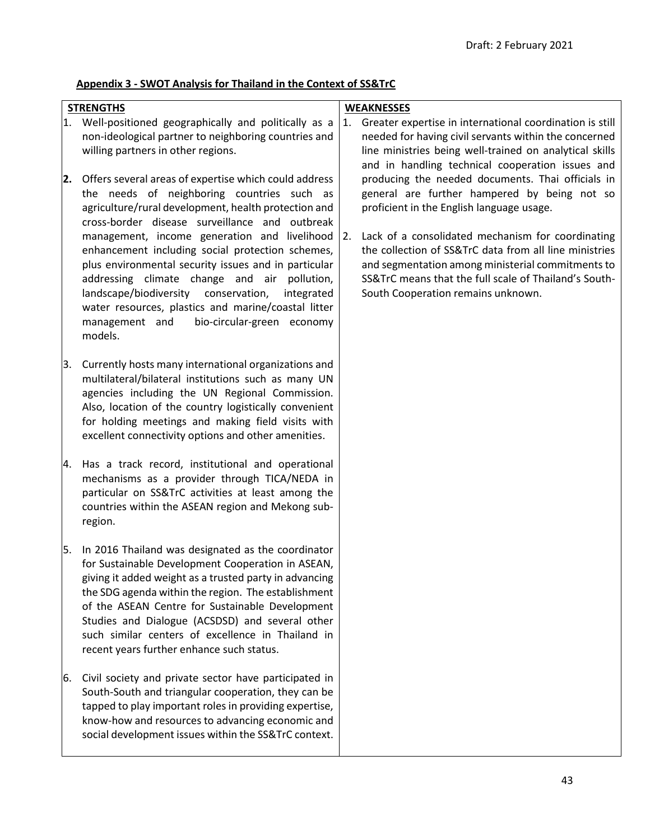### **Appendix 3 - SWOT Analysis for Thailand in the Context of SS&TrC**

# **STRENGTHS** 1. Well-positioned geographically and politically as a non-ideological partner to neighboring countries and willing partners in other regions. **2.** Offers several areas of expertise which could address the needs of neighboring countries such as agriculture/rural development, health protection and

- cross-border disease surveillance and outbreak enhancement including social protection schemes, plus environmental security issues and in particular addressing climate change and air pollution, landscape/biodiversity conservation, integrated water resources, plastics and marine/coastal litter management and bio-circular-green economy models.
- 3. Currently hosts many international organizations and multilateral/bilateral institutions such as many UN agencies including the UN Regional Commission. Also, location of the country logistically convenient for holding meetings and making field visits with excellent connectivity options and other amenities.
- 4. Has a track record, institutional and operational mechanisms as a provider through TICA/NEDA in particular on SS&TrC activities at least among the countries within the ASEAN region and Mekong subregion.
- 5. In 2016 Thailand was designated as the coordinator for Sustainable Development Cooperation in ASEAN, giving it added weight as a trusted party in advancing the SDG agenda within the region. The establishment of the ASEAN Centre for Sustainable Development Studies and Dialogue (ACSDSD) and several other such similar centers of excellence in Thailand in recent years further enhance such status.
- 6. Civil society and private sector have participated in South-South and triangular cooperation, they can be tapped to play important roles in providing expertise, know-how and resources to advancing economic and social development issues within the SS&TrC context.

### **WEAKNESSES**

- 1. Greater expertise in international coordination is still needed for having civil servants within the concerned line ministries being well-trained on analytical skills and in handling technical cooperation issues and producing the needed documents. Thai officials in general are further hampered by being not so proficient in the English language usage.
- management, income generation and livelihood 2. Lack of a consolidated mechanism for coordinating the collection of SS&TrC data from all line ministries and segmentation among ministerial commitments to SS&TrC means that the full scale of Thailand's South-South Cooperation remains unknown.